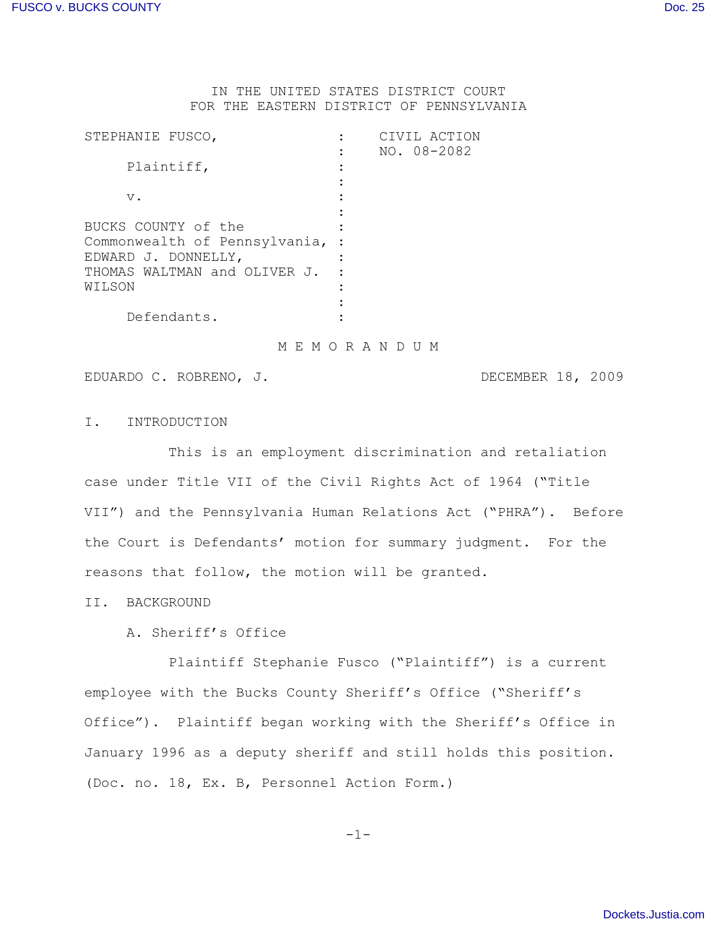IN THE UNITED STATES DISTRICT COURT FOR THE EASTERN DISTRICT OF PENNSYLVANIA

| STEPHANIE FUSCO,              | CIVIL ACTION |
|-------------------------------|--------------|
|                               | NO. 08-2082  |
| Plaintiff,                    |              |
|                               |              |
| $V$ .                         |              |
|                               |              |
| BUCKS COUNTY of the           |              |
| Commonwealth of Pennsylvania, |              |
| EDWARD J. DONNELLY,           |              |
| THOMAS WALTMAN and OLIVER J.  |              |
| WILSON                        |              |
|                               |              |
| Defendants.                   |              |
|                               |              |

M E M O R A N D U M

EDUARDO C. ROBRENO, J. DECEMBER 18, 2009

I. INTRODUCTION

This is an employment discrimination and retaliation case under Title VII of the Civil Rights Act of 1964 ("Title VII") and the Pennsylvania Human Relations Act ("PHRA"). Before the Court is Defendants' motion for summary judgment. For the reasons that follow, the motion will be granted.

II. BACKGROUND

A. Sheriff's Office

Plaintiff Stephanie Fusco ("Plaintiff") is a current employee with the Bucks County Sheriff's Office ("Sheriff's Office"). Plaintiff began working with the Sheriff's Office in January 1996 as a deputy sheriff and still holds this position. (Doc. no. 18, Ex. B, Personnel Action Form.)

-1-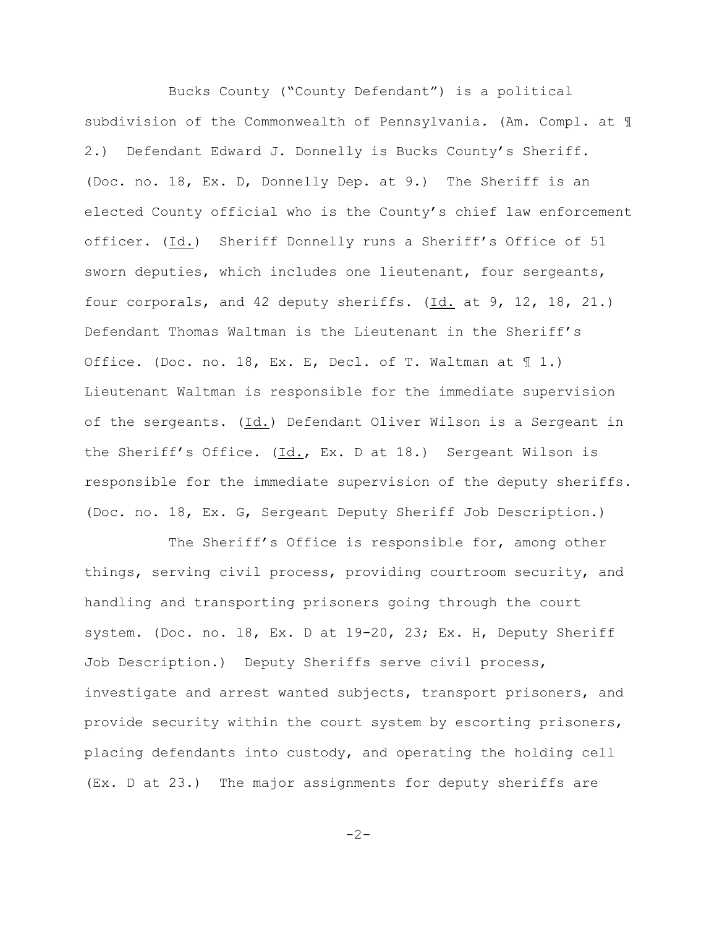Bucks County ("County Defendant") is a political subdivision of the Commonwealth of Pennsylvania. (Am. Compl. at ¶ 2.) Defendant Edward J. Donnelly is Bucks County's Sheriff. (Doc. no. 18, Ex. D, Donnelly Dep. at 9.) The Sheriff is an elected County official who is the County's chief law enforcement officer. (Id.) Sheriff Donnelly runs a Sheriff's Office of 51 sworn deputies, which includes one lieutenant, four sergeants, four corporals, and 42 deputy sheriffs. (Id. at 9, 12, 18, 21.) Defendant Thomas Waltman is the Lieutenant in the Sheriff's Office. (Doc. no. 18, Ex. E, Decl. of T. Waltman at  $\text{\textsterling}$  1.) Lieutenant Waltman is responsible for the immediate supervision of the sergeants. (Id.) Defendant Oliver Wilson is a Sergeant in the Sheriff's Office. (Id., Ex. D at 18.) Sergeant Wilson is responsible for the immediate supervision of the deputy sheriffs. (Doc. no. 18, Ex. G, Sergeant Deputy Sheriff Job Description.)

The Sheriff's Office is responsible for, among other things, serving civil process, providing courtroom security, and handling and transporting prisoners going through the court system. (Doc. no. 18, Ex. D at 19-20, 23; Ex. H, Deputy Sheriff Job Description.) Deputy Sheriffs serve civil process, investigate and arrest wanted subjects, transport prisoners, and provide security within the court system by escorting prisoners, placing defendants into custody, and operating the holding cell (Ex. D at 23.) The major assignments for deputy sheriffs are

 $-2-$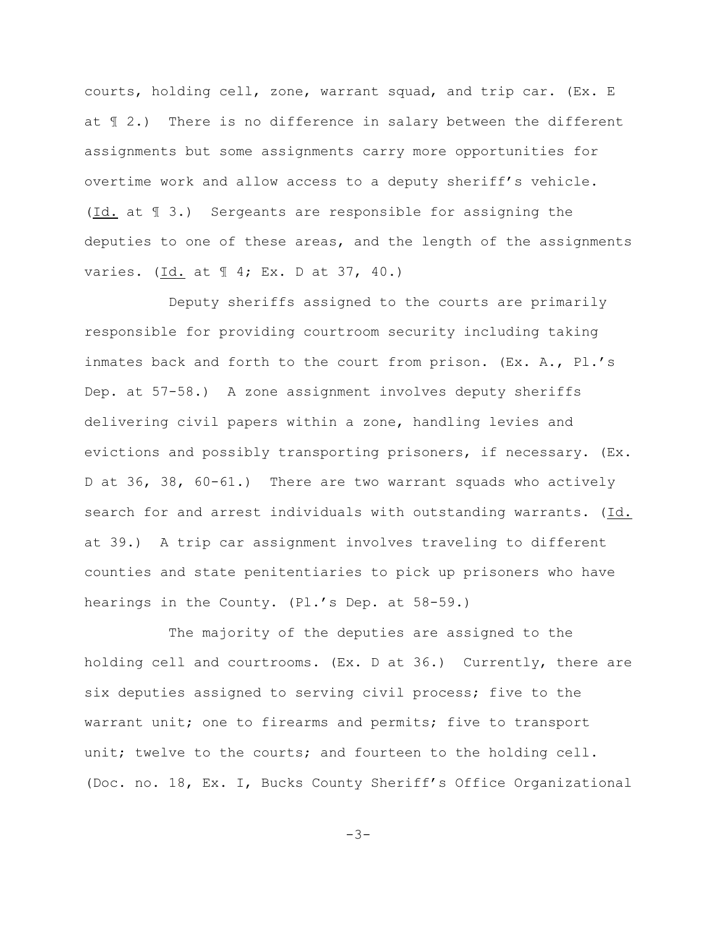courts, holding cell, zone, warrant squad, and trip car. (Ex. E at ¶ 2.) There is no difference in salary between the different assignments but some assignments carry more opportunities for overtime work and allow access to a deputy sheriff's vehicle. (Id. at ¶ 3.) Sergeants are responsible for assigning the deputies to one of these areas, and the length of the assignments varies. (Id. at 1 4; Ex. D at 37, 40.)

Deputy sheriffs assigned to the courts are primarily responsible for providing courtroom security including taking inmates back and forth to the court from prison. (Ex. A., Pl.'s Dep. at 57-58.) A zone assignment involves deputy sheriffs delivering civil papers within a zone, handling levies and evictions and possibly transporting prisoners, if necessary. (Ex. D at 36, 38, 60-61.) There are two warrant squads who actively search for and arrest individuals with outstanding warrants. (Id. at 39.) A trip car assignment involves traveling to different counties and state penitentiaries to pick up prisoners who have hearings in the County. (Pl.'s Dep. at 58-59.)

The majority of the deputies are assigned to the holding cell and courtrooms. (Ex. D at 36.) Currently, there are six deputies assigned to serving civil process; five to the warrant unit; one to firearms and permits; five to transport unit; twelve to the courts; and fourteen to the holding cell. (Doc. no. 18, Ex. I, Bucks County Sheriff's Office Organizational

 $-3-$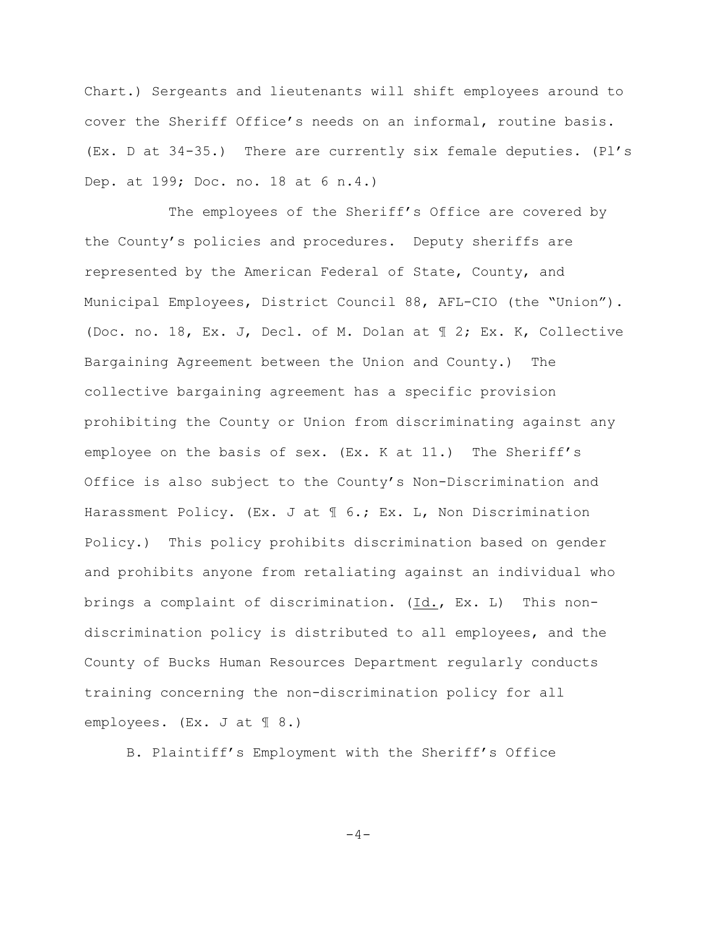Chart.) Sergeants and lieutenants will shift employees around to cover the Sheriff Office's needs on an informal, routine basis. (Ex. D at 34-35.) There are currently six female deputies. (Pl's Dep. at 199; Doc. no. 18 at 6 n.4.)

The employees of the Sheriff's Office are covered by the County's policies and procedures. Deputy sheriffs are represented by the American Federal of State, County, and Municipal Employees, District Council 88, AFL-CIO (the "Union"). (Doc. no. 18, Ex. J, Decl. of M. Dolan at ¶ 2; Ex. K, Collective Bargaining Agreement between the Union and County.) The collective bargaining agreement has a specific provision prohibiting the County or Union from discriminating against any employee on the basis of sex. (Ex. K at 11.) The Sheriff's Office is also subject to the County's Non-Discrimination and Harassment Policy. (Ex. J at  $\mathcal I$  6.; Ex. L, Non Discrimination Policy.) This policy prohibits discrimination based on gender and prohibits anyone from retaliating against an individual who brings a complaint of discrimination. (Id., Ex. L) This nondiscrimination policy is distributed to all employees, and the County of Bucks Human Resources Department regularly conducts training concerning the non-discrimination policy for all employees. (Ex. J at  $\text{\ensuremath{\mathbb{I}}}\xspace$  8.)

B. Plaintiff's Employment with the Sheriff's Office

 $-4-$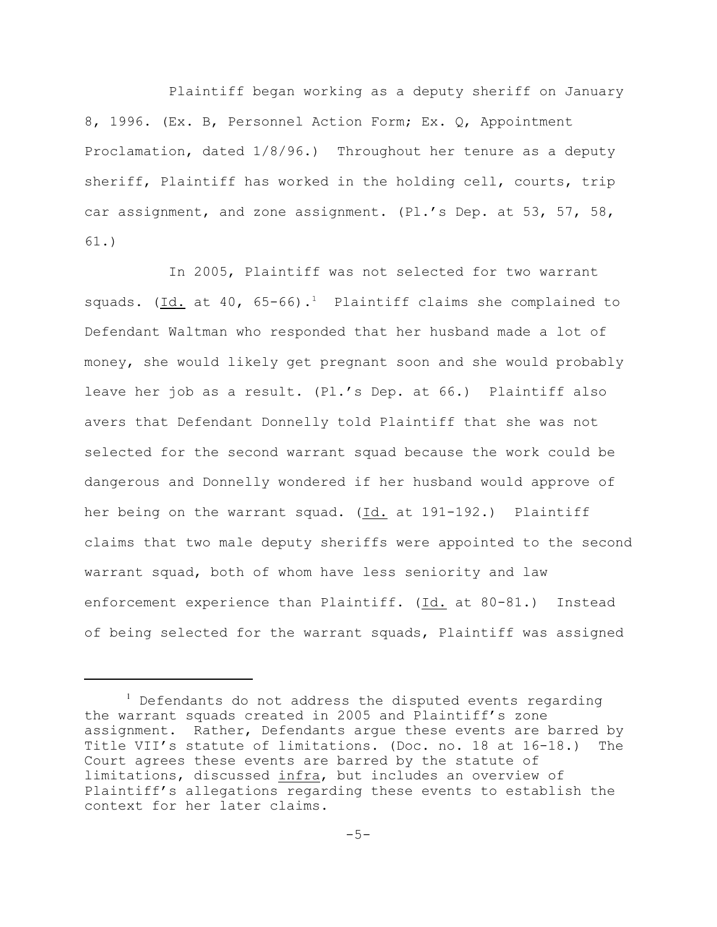Plaintiff began working as a deputy sheriff on January 8, 1996. (Ex. B, Personnel Action Form; Ex. Q, Appointment Proclamation, dated 1/8/96.) Throughout her tenure as a deputy sheriff, Plaintiff has worked in the holding cell, courts, trip car assignment, and zone assignment. (Pl.'s Dep. at 53, 57, 58, 61.)

In 2005, Plaintiff was not selected for two warrant squads. (Id. at 40, 65-66).<sup>1</sup> Plaintiff claims she complained to Defendant Waltman who responded that her husband made a lot of money, she would likely get pregnant soon and she would probably leave her job as a result. (Pl.'s Dep. at 66.) Plaintiff also avers that Defendant Donnelly told Plaintiff that she was not selected for the second warrant squad because the work could be dangerous and Donnelly wondered if her husband would approve of her being on the warrant squad. (Id. at 191-192.) Plaintiff claims that two male deputy sheriffs were appointed to the second warrant squad, both of whom have less seniority and law enforcement experience than Plaintiff. (Id. at 80-81.) Instead of being selected for the warrant squads, Plaintiff was assigned

 $1$  Defendants do not address the disputed events regarding the warrant squads created in 2005 and Plaintiff's zone assignment. Rather, Defendants argue these events are barred by Title VII's statute of limitations. (Doc. no. 18 at 16-18.) The Court agrees these events are barred by the statute of limitations, discussed infra, but includes an overview of Plaintiff's allegations regarding these events to establish the context for her later claims.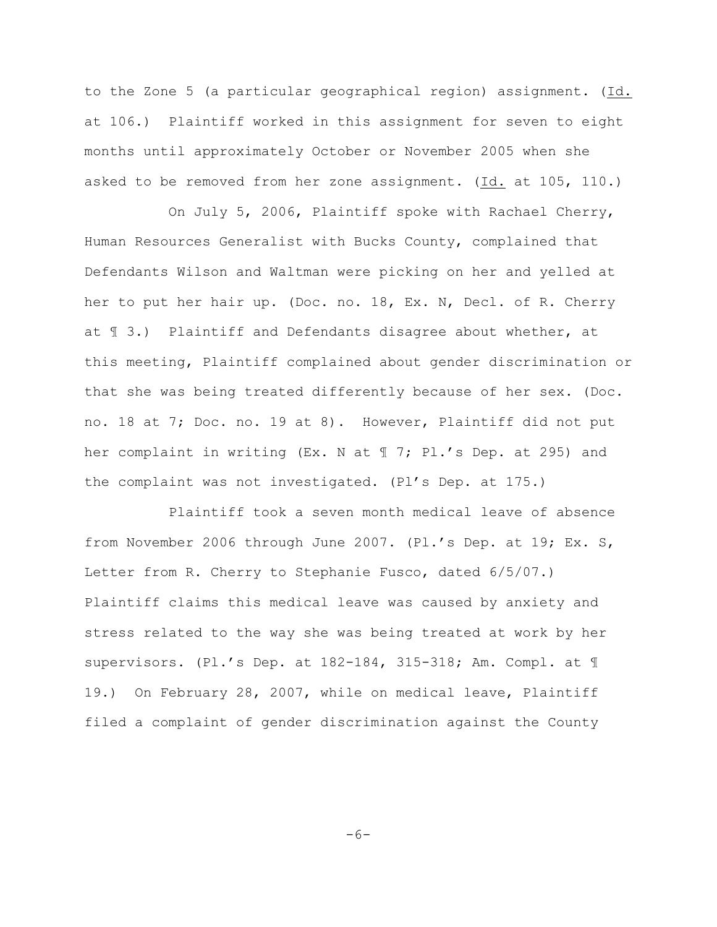to the Zone 5 (a particular geographical region) assignment. (Id. at 106.) Plaintiff worked in this assignment for seven to eight months until approximately October or November 2005 when she asked to be removed from her zone assignment. (Id. at 105, 110.)

On July 5, 2006, Plaintiff spoke with Rachael Cherry, Human Resources Generalist with Bucks County, complained that Defendants Wilson and Waltman were picking on her and yelled at her to put her hair up. (Doc. no. 18, Ex. N, Decl. of R. Cherry at ¶ 3.) Plaintiff and Defendants disagree about whether, at this meeting, Plaintiff complained about gender discrimination or that she was being treated differently because of her sex. (Doc. no. 18 at 7; Doc. no. 19 at 8). However, Plaintiff did not put her complaint in writing (Ex. N at 17; Pl.'s Dep. at 295) and the complaint was not investigated. (Pl's Dep. at 175.)

Plaintiff took a seven month medical leave of absence from November 2006 through June 2007. (Pl.'s Dep. at 19; Ex. S, Letter from R. Cherry to Stephanie Fusco, dated 6/5/07.) Plaintiff claims this medical leave was caused by anxiety and stress related to the way she was being treated at work by her supervisors. (Pl.'s Dep. at 182-184, 315-318; Am. Compl. at ¶ 19.) On February 28, 2007, while on medical leave, Plaintiff filed a complaint of gender discrimination against the County

 $-6-$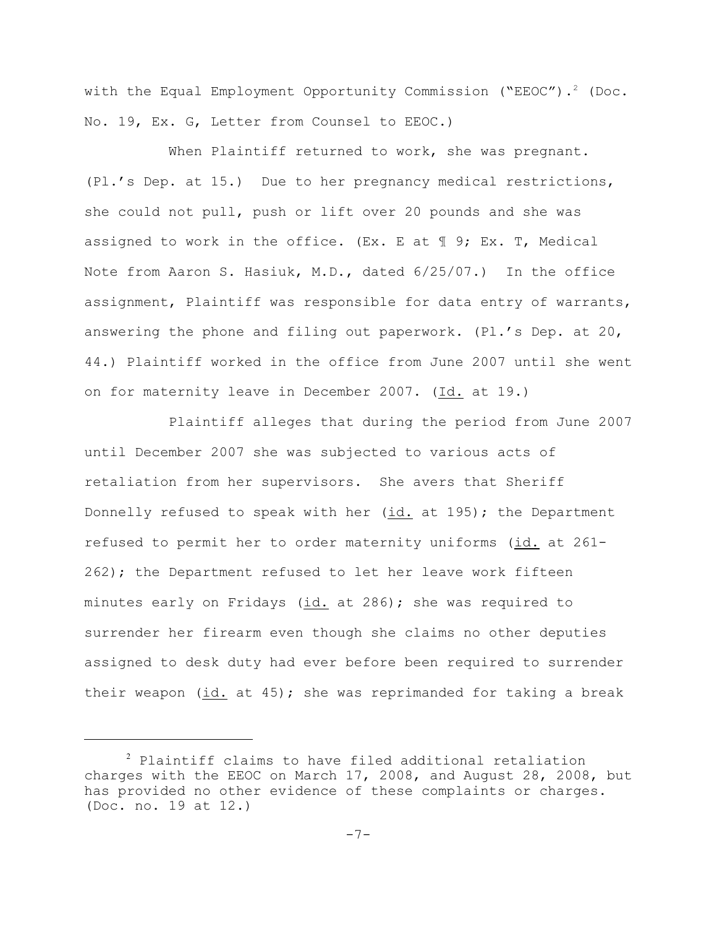with the Equal Employment Opportunity Commission ("EEOC").<sup>2</sup> (Doc. No. 19, Ex. G, Letter from Counsel to EEOC.)

When Plaintiff returned to work, she was pregnant. (Pl.'s Dep. at 15.) Due to her pregnancy medical restrictions, she could not pull, push or lift over 20 pounds and she was assigned to work in the office. (Ex. E at  $\mathbb I$  9; Ex. T, Medical Note from Aaron S. Hasiuk, M.D., dated 6/25/07.) In the office assignment, Plaintiff was responsible for data entry of warrants, answering the phone and filing out paperwork. (Pl.'s Dep. at 20, 44.) Plaintiff worked in the office from June 2007 until she went on for maternity leave in December 2007. (Id. at 19.)

Plaintiff alleges that during the period from June 2007 until December 2007 she was subjected to various acts of retaliation from her supervisors. She avers that Sheriff Donnelly refused to speak with her (id. at 195); the Department refused to permit her to order maternity uniforms (id. at 261- 262); the Department refused to let her leave work fifteen minutes early on Fridays (id. at 286); she was required to surrender her firearm even though she claims no other deputies assigned to desk duty had ever before been required to surrender their weapon  $(id. at 45)$ ; she was reprimanded for taking a break

 $2$  Plaintiff claims to have filed additional retaliation charges with the EEOC on March 17, 2008, and August 28, 2008, but has provided no other evidence of these complaints or charges. (Doc. no. 19 at 12.)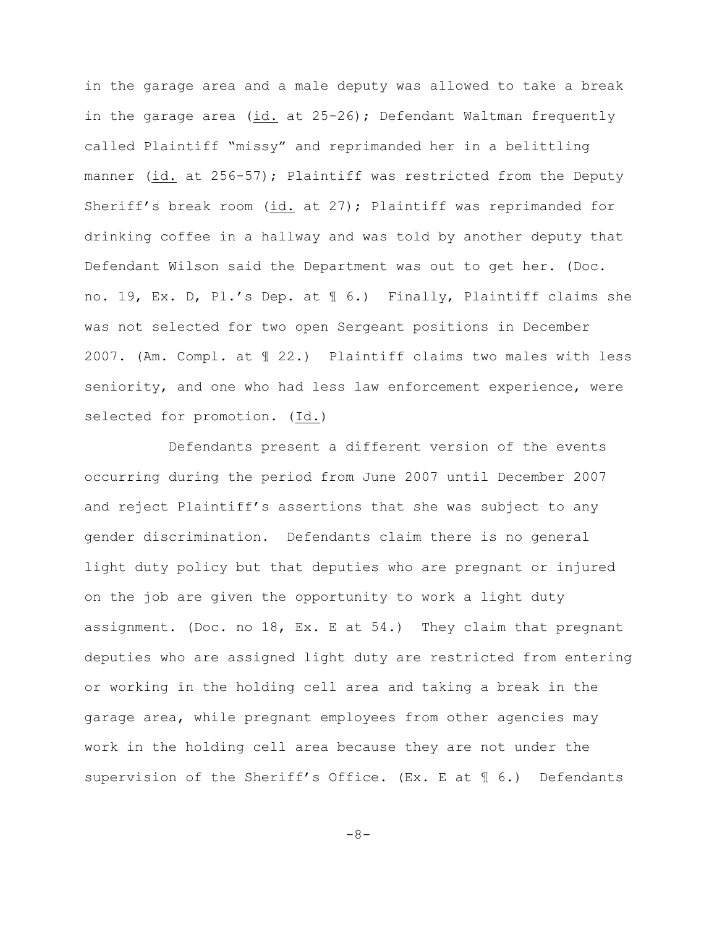in the garage area and a male deputy was allowed to take a break in the garage area (id. at 25-26); Defendant Waltman frequently called Plaintiff "missy" and reprimanded her in a belittling manner (id. at 256-57); Plaintiff was restricted from the Deputy Sheriff's break room (id. at 27); Plaintiff was reprimanded for drinking coffee in a hallway and was told by another deputy that Defendant Wilson said the Department was out to get her. (Doc. no. 19, Ex. D, Pl.'s Dep. at ¶ 6.) Finally, Plaintiff claims she was not selected for two open Sergeant positions in December 2007. (Am. Compl. at ¶ 22.) Plaintiff claims two males with less seniority, and one who had less law enforcement experience, were selected for promotion. (Id.)

Defendants present a different version of the events occurring during the period from June 2007 until December 2007 and reject Plaintiff's assertions that she was subject to any gender discrimination. Defendants claim there is no general light duty policy but that deputies who are pregnant or injured on the job are given the opportunity to work a light duty assignment. (Doc. no 18, Ex. E at 54.) They claim that pregnant deputies who are assigned light duty are restricted from entering or working in the holding cell area and taking a break in the garage area, while pregnant employees from other agencies may work in the holding cell area because they are not under the supervision of the Sheriff's Office. (Ex. E at ¶ 6.) Defendants

-8-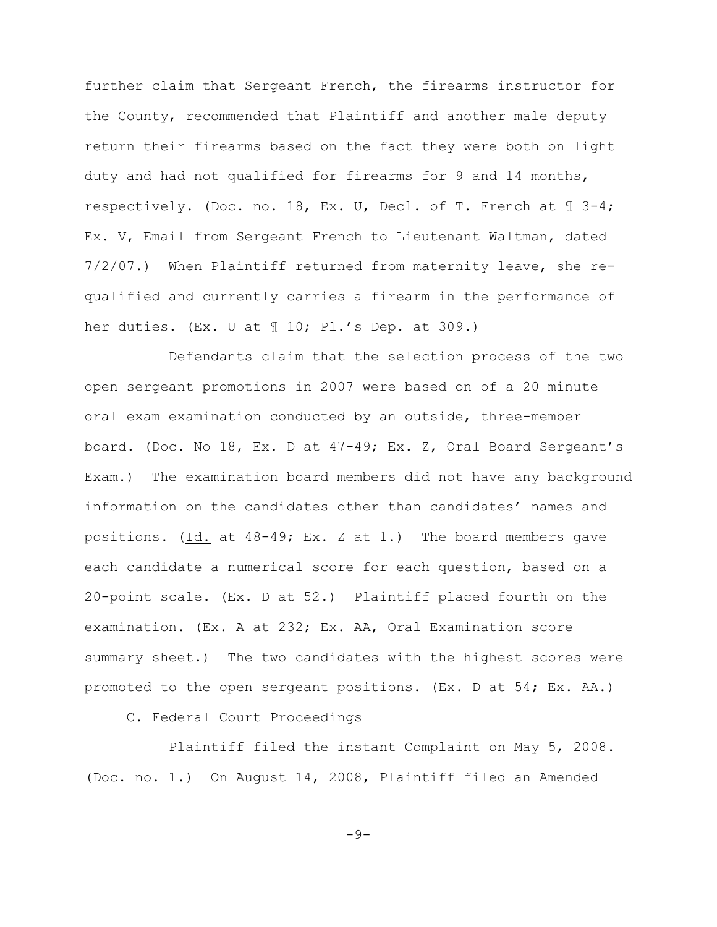further claim that Sergeant French, the firearms instructor for the County, recommended that Plaintiff and another male deputy return their firearms based on the fact they were both on light duty and had not qualified for firearms for 9 and 14 months, respectively. (Doc. no. 18, Ex. U, Decl. of T. French at ¶ 3-4; Ex. V, Email from Sergeant French to Lieutenant Waltman, dated 7/2/07.) When Plaintiff returned from maternity leave, she requalified and currently carries a firearm in the performance of her duties. (Ex. U at ¶ 10; Pl.'s Dep. at 309.)

Defendants claim that the selection process of the two open sergeant promotions in 2007 were based on of a 20 minute oral exam examination conducted by an outside, three-member board. (Doc. No 18, Ex. D at 47-49; Ex. Z, Oral Board Sergeant's Exam.) The examination board members did not have any background information on the candidates other than candidates' names and positions. (Id. at 48-49; Ex. Z at 1.) The board members gave each candidate a numerical score for each question, based on a 20-point scale. (Ex. D at 52.) Plaintiff placed fourth on the examination. (Ex. A at 232; Ex. AA, Oral Examination score summary sheet.) The two candidates with the highest scores were promoted to the open sergeant positions. (Ex. D at 54; Ex. AA.)

C. Federal Court Proceedings

Plaintiff filed the instant Complaint on May 5, 2008. (Doc. no. 1.) On August 14, 2008, Plaintiff filed an Amended

 $-9-$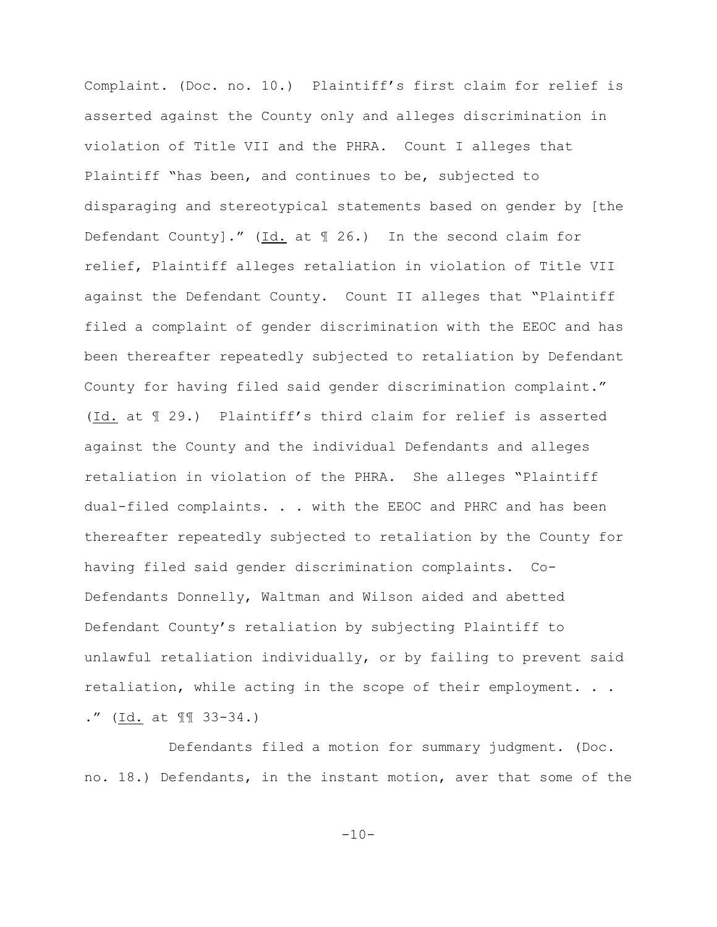Complaint. (Doc. no. 10.) Plaintiff's first claim for relief is asserted against the County only and alleges discrimination in violation of Title VII and the PHRA. Count I alleges that Plaintiff "has been, and continues to be, subjected to disparaging and stereotypical statements based on gender by [the Defendant County]." (Id. at ¶ 26.) In the second claim for relief, Plaintiff alleges retaliation in violation of Title VII against the Defendant County. Count II alleges that "Plaintiff filed a complaint of gender discrimination with the EEOC and has been thereafter repeatedly subjected to retaliation by Defendant County for having filed said gender discrimination complaint." (Id. at ¶ 29.) Plaintiff's third claim for relief is asserted against the County and the individual Defendants and alleges retaliation in violation of the PHRA. She alleges "Plaintiff dual-filed complaints. . . with the EEOC and PHRC and has been thereafter repeatedly subjected to retaliation by the County for having filed said gender discrimination complaints. Co-Defendants Donnelly, Waltman and Wilson aided and abetted Defendant County's retaliation by subjecting Plaintiff to unlawful retaliation individually, or by failing to prevent said retaliation, while acting in the scope of their employment. . . ." (Id. at ¶¶ 33-34.)

Defendants filed a motion for summary judgment. (Doc. no. 18.) Defendants, in the instant motion, aver that some of the

 $-10-$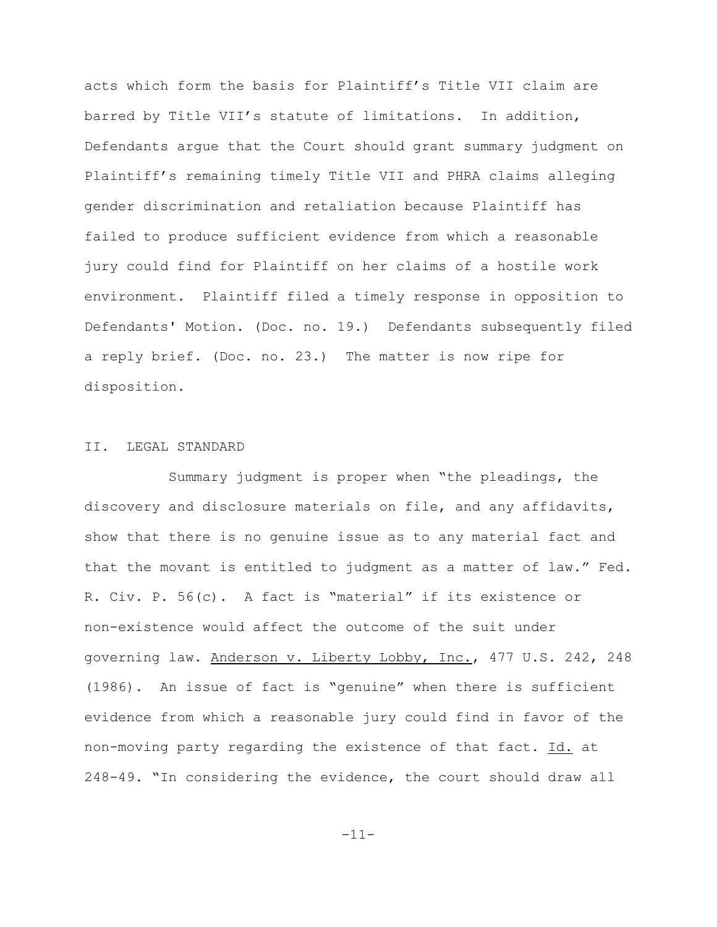acts which form the basis for Plaintiff's Title VII claim are barred by Title VII's statute of limitations. In addition, Defendants argue that the Court should grant summary judgment on Plaintiff's remaining timely Title VII and PHRA claims alleging gender discrimination and retaliation because Plaintiff has failed to produce sufficient evidence from which a reasonable jury could find for Plaintiff on her claims of a hostile work environment. Plaintiff filed a timely response in opposition to Defendants' Motion. (Doc. no. 19.) Defendants subsequently filed a reply brief. (Doc. no. 23.) The matter is now ripe for disposition.

## II. LEGAL STANDARD

Summary judgment is proper when "the pleadings, the discovery and disclosure materials on file, and any affidavits, show that there is no genuine issue as to any material fact and that the movant is entitled to judgment as a matter of law." Fed. R. Civ. P. 56(c). A fact is "material" if its existence or non-existence would affect the outcome of the suit under governing law. Anderson v. Liberty Lobby, Inc., 477 U.S. 242, 248 (1986). An issue of fact is "genuine" when there is sufficient evidence from which a reasonable jury could find in favor of the non-moving party regarding the existence of that fact. Id. at 248-49. "In considering the evidence, the court should draw all

-11-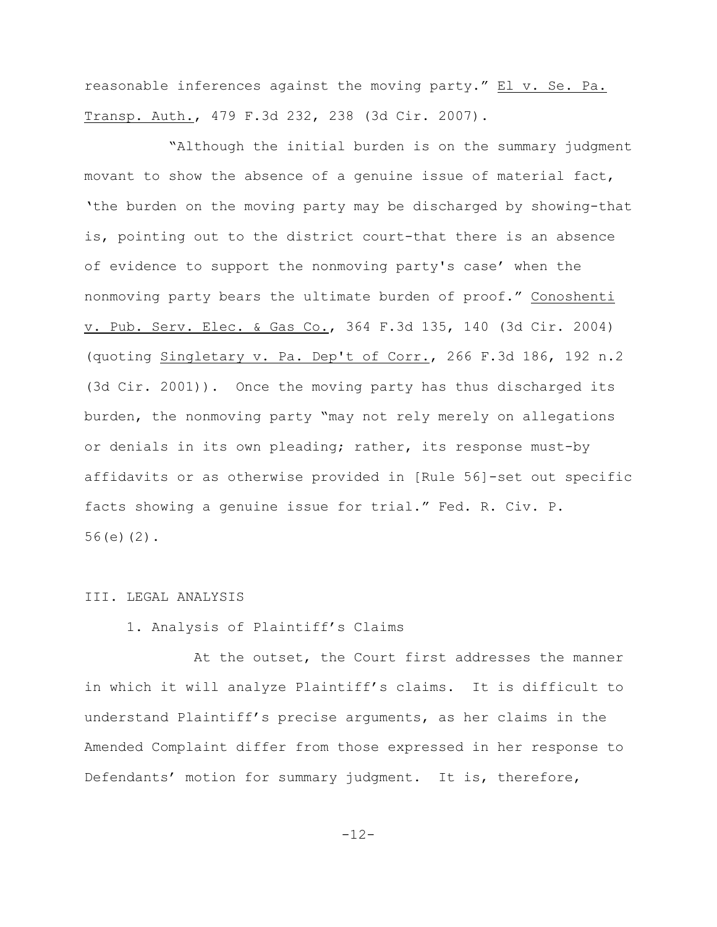reasonable inferences against the moving party." El v. Se. Pa. Transp. Auth., 479 F.3d 232, 238 (3d Cir. 2007).

"Although the initial burden is on the summary judgment movant to show the absence of a genuine issue of material fact, 'the burden on the moving party may be discharged by showing-that is, pointing out to the district court-that there is an absence of evidence to support the nonmoving party's case' when the nonmoving party bears the ultimate burden of proof." Conoshenti v. Pub. Serv. Elec. & Gas Co., 364 F.3d 135, 140 (3d Cir. 2004) (quoting Singletary v. Pa. Dep't of Corr., 266 F.3d 186, 192 n.2 (3d Cir. 2001)). Once the moving party has thus discharged its burden, the nonmoving party "may not rely merely on allegations or denials in its own pleading; rather, its response must-by affidavits or as otherwise provided in [Rule 56]-set out specific facts showing a genuine issue for trial." Fed. R. Civ. P. 56(e)(2).

## III. LEGAL ANALYSIS

## 1. Analysis of Plaintiff's Claims

 At the outset, the Court first addresses the manner in which it will analyze Plaintiff's claims. It is difficult to understand Plaintiff's precise arguments, as her claims in the Amended Complaint differ from those expressed in her response to Defendants' motion for summary judgment. It is, therefore,

-12-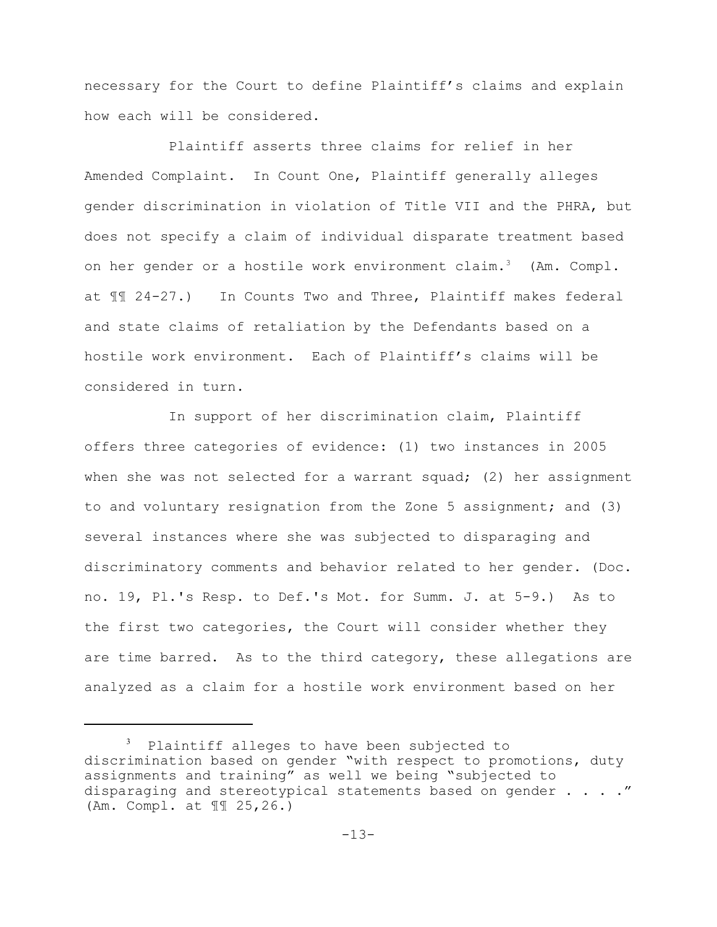necessary for the Court to define Plaintiff's claims and explain how each will be considered.

Plaintiff asserts three claims for relief in her Amended Complaint. In Count One, Plaintiff generally alleges gender discrimination in violation of Title VII and the PHRA, but does not specify a claim of individual disparate treatment based on her gender or a hostile work environment claim.<sup>3</sup> (Am. Compl. at ¶¶ 24-27.) In Counts Two and Three, Plaintiff makes federal and state claims of retaliation by the Defendants based on a hostile work environment. Each of Plaintiff's claims will be considered in turn.

In support of her discrimination claim, Plaintiff offers three categories of evidence: (1) two instances in 2005 when she was not selected for a warrant squad; (2) her assignment to and voluntary resignation from the Zone 5 assignment; and (3) several instances where she was subjected to disparaging and discriminatory comments and behavior related to her gender. (Doc. no. 19, Pl.'s Resp. to Def.'s Mot. for Summ. J. at 5-9.) As to the first two categories, the Court will consider whether they are time barred. As to the third category, these allegations are analyzed as a claim for a hostile work environment based on her

 $3$  Plaintiff alleges to have been subjected to discrimination based on gender "with respect to promotions, duty assignments and training" as well we being "subjected to disparaging and stereotypical statements based on gender  $\ldots$ ." (Am. Compl. at ¶¶ 25,26.)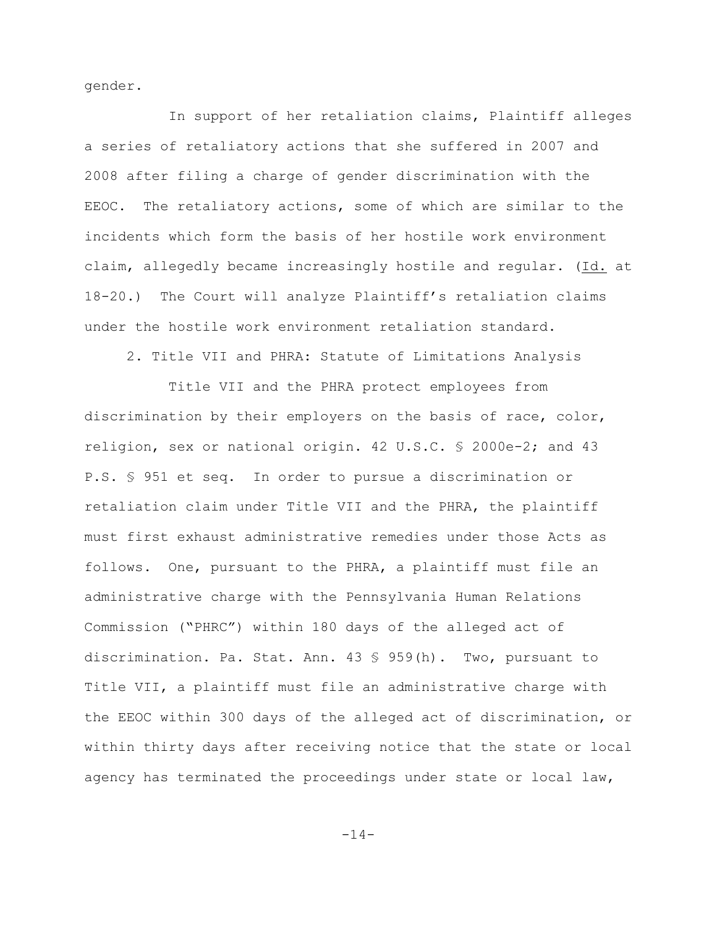gender.

In support of her retaliation claims, Plaintiff alleges a series of retaliatory actions that she suffered in 2007 and 2008 after filing a charge of gender discrimination with the EEOC. The retaliatory actions, some of which are similar to the incidents which form the basis of her hostile work environment claim, allegedly became increasingly hostile and regular. (Id. at 18-20.) The Court will analyze Plaintiff's retaliation claims under the hostile work environment retaliation standard.

2. Title VII and PHRA: Statute of Limitations Analysis

Title VII and the PHRA protect employees from discrimination by their employers on the basis of race, color, religion, sex or national origin. 42 U.S.C. § 2000e-2; and 43 P.S. § 951 et seq. In order to pursue a discrimination or retaliation claim under Title VII and the PHRA, the plaintiff must first exhaust administrative remedies under those Acts as follows. One, pursuant to the PHRA, a plaintiff must file an administrative charge with the Pennsylvania Human Relations Commission ("PHRC") within 180 days of the alleged act of discrimination. Pa. Stat. Ann. 43 § 959(h). Two, pursuant to Title VII, a plaintiff must file an administrative charge with the EEOC within 300 days of the alleged act of discrimination, or within thirty days after receiving notice that the state or local agency has terminated the proceedings under state or local law,

-14-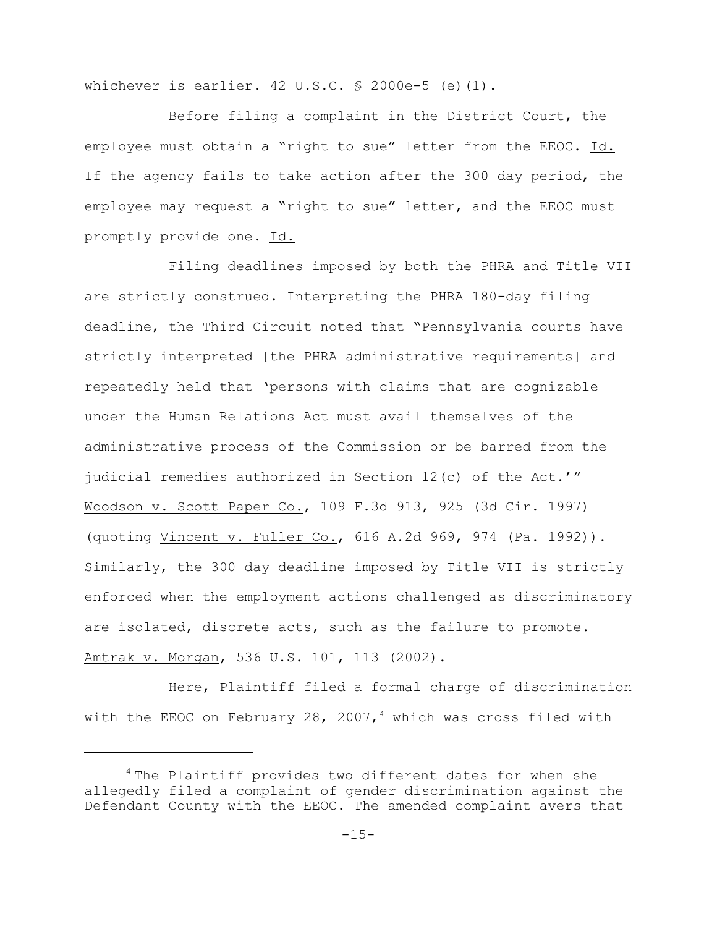whichever is earlier.  $42 \text{ U.S.C. }$  \$ 2000e-5 (e)(1).

Before filing a complaint in the District Court, the employee must obtain a "right to sue" letter from the EEOC. Id. If the agency fails to take action after the 300 day period, the employee may request a "right to sue" letter, and the EEOC must promptly provide one. Id.

Filing deadlines imposed by both the PHRA and Title VII are strictly construed. Interpreting the PHRA 180-day filing deadline, the Third Circuit noted that "Pennsylvania courts have strictly interpreted [the PHRA administrative requirements] and repeatedly held that 'persons with claims that are cognizable under the Human Relations Act must avail themselves of the administrative process of the Commission or be barred from the judicial remedies authorized in Section 12(c) of the Act.'" Woodson v. Scott Paper Co., 109 F.3d 913, 925 (3d Cir. 1997) (quoting Vincent v. Fuller Co., 616 A.2d 969, 974 (Pa. 1992)). Similarly, the 300 day deadline imposed by Title VII is strictly enforced when the employment actions challenged as discriminatory are isolated, discrete acts, such as the failure to promote. Amtrak v. Morgan, 536 U.S. 101, 113 (2002).

Here, Plaintiff filed a formal charge of discrimination with the EEOC on February 28, 2007,<sup>4</sup> which was cross filed with

 $1$ <sup>4</sup> The Plaintiff provides two different dates for when she allegedly filed a complaint of gender discrimination against the Defendant County with the EEOC. The amended complaint avers that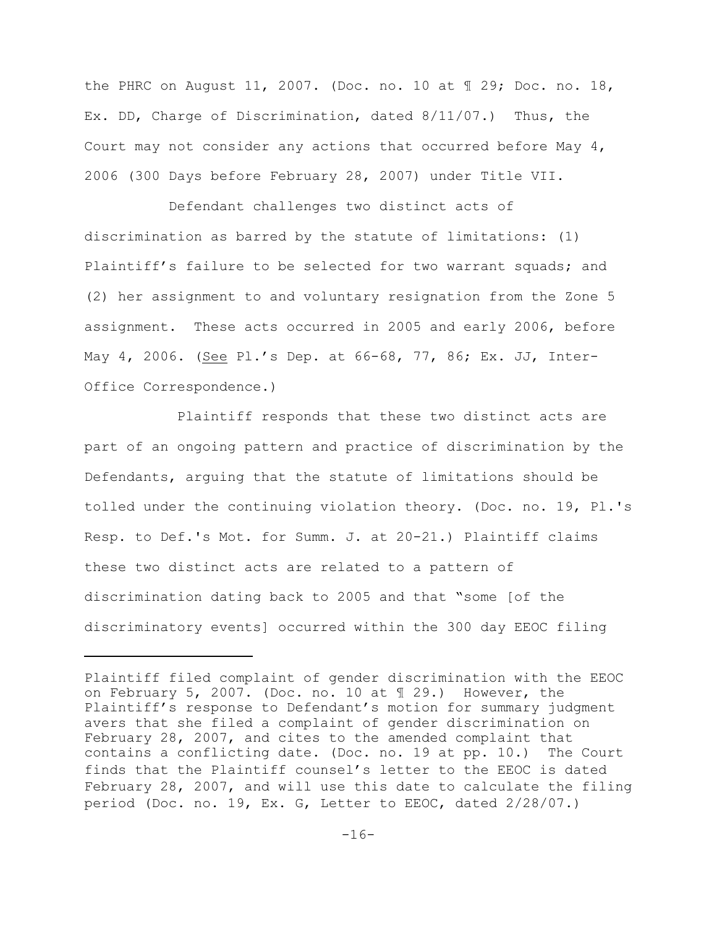the PHRC on August 11, 2007. (Doc. no. 10 at ¶ 29; Doc. no. 18, Ex. DD, Charge of Discrimination, dated 8/11/07.) Thus, the Court may not consider any actions that occurred before May 4, 2006 (300 Days before February 28, 2007) under Title VII.

Defendant challenges two distinct acts of discrimination as barred by the statute of limitations: (1) Plaintiff's failure to be selected for two warrant squads; and (2) her assignment to and voluntary resignation from the Zone 5 assignment. These acts occurred in 2005 and early 2006, before May 4, 2006. (See Pl.'s Dep. at 66-68, 77, 86; Ex. JJ, Inter-Office Correspondence.)

 Plaintiff responds that these two distinct acts are part of an ongoing pattern and practice of discrimination by the Defendants, arguing that the statute of limitations should be tolled under the continuing violation theory. (Doc. no. 19, Pl.'s Resp. to Def.'s Mot. for Summ. J. at 20-21.) Plaintiff claims these two distinct acts are related to a pattern of discrimination dating back to 2005 and that "some [of the discriminatory events] occurred within the 300 day EEOC filing

Plaintiff filed complaint of gender discrimination with the EEOC on February 5, 2007. (Doc. no. 10 at ¶ 29.) However, the Plaintiff's response to Defendant's motion for summary judgment avers that she filed a complaint of gender discrimination on February 28, 2007, and cites to the amended complaint that contains a conflicting date. (Doc. no. 19 at pp. 10.) The Court finds that the Plaintiff counsel's letter to the EEOC is dated February 28, 2007, and will use this date to calculate the filing period (Doc. no. 19, Ex. G, Letter to EEOC, dated 2/28/07.)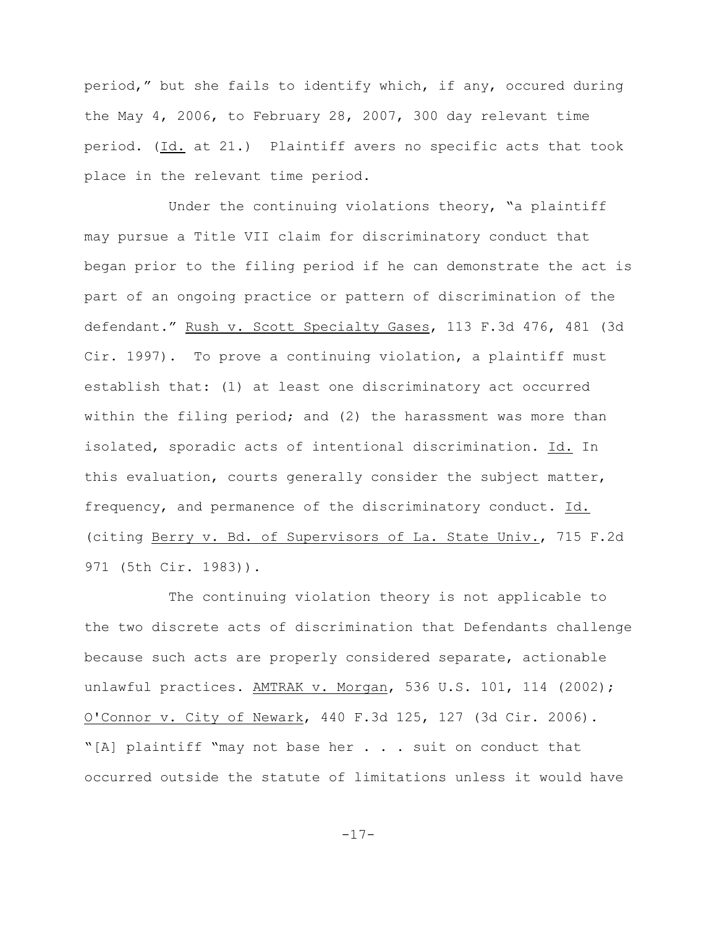period," but she fails to identify which, if any, occured during the May 4, 2006, to February 28, 2007, 300 day relevant time period. (Id. at 21.) Plaintiff avers no specific acts that took place in the relevant time period.

Under the continuing violations theory, "a plaintiff may pursue a Title VII claim for discriminatory conduct that began prior to the filing period if he can demonstrate the act is part of an ongoing practice or pattern of discrimination of the defendant." Rush v. Scott Specialty Gases, 113 F.3d 476, 481 (3d Cir. 1997). To prove a continuing violation, a plaintiff must establish that: (1) at least one discriminatory act occurred within the filing period; and (2) the harassment was more than isolated, sporadic acts of intentional discrimination. Id. In this evaluation, courts generally consider the subject matter, frequency, and permanence of the discriminatory conduct. Id. (citing Berry v. Bd. of Supervisors of La. State Univ., 715 F.2d 971 (5th Cir. 1983)).

The continuing violation theory is not applicable to the two discrete acts of discrimination that Defendants challenge because such acts are properly considered separate, actionable unlawful practices. AMTRAK v. Morgan, 536 U.S. 101, 114 (2002); O'Connor v. City of Newark, 440 F.3d 125, 127 (3d Cir. 2006). "[A] plaintiff "may not base her . . . suit on conduct that occurred outside the statute of limitations unless it would have

-17-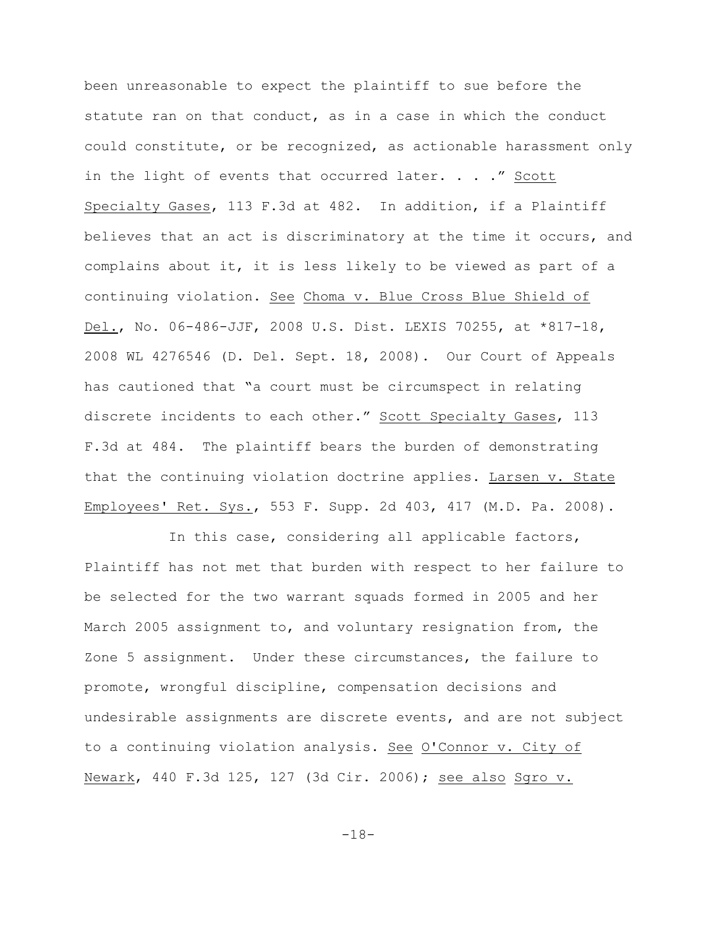been unreasonable to expect the plaintiff to sue before the statute ran on that conduct, as in a case in which the conduct could constitute, or be recognized, as actionable harassment only in the light of events that occurred later. . . ." Scott Specialty Gases, 113 F.3d at 482. In addition, if a Plaintiff believes that an act is discriminatory at the time it occurs, and complains about it, it is less likely to be viewed as part of a continuing violation. See Choma v. Blue Cross Blue Shield of Del., No. 06-486-JJF, 2008 U.S. Dist. LEXIS 70255, at \*817-18, 2008 WL 4276546 (D. Del. Sept. 18, 2008). Our Court of Appeals has cautioned that "a court must be circumspect in relating discrete incidents to each other." Scott Specialty Gases, 113 F.3d at 484. The plaintiff bears the burden of demonstrating that the continuing violation doctrine applies. Larsen v. State Employees' Ret. Sys., 553 F. Supp. 2d 403, 417 (M.D. Pa. 2008).

In this case, considering all applicable factors, Plaintiff has not met that burden with respect to her failure to be selected for the two warrant squads formed in 2005 and her March 2005 assignment to, and voluntary resignation from, the Zone 5 assignment. Under these circumstances, the failure to promote, wrongful discipline, compensation decisions and undesirable assignments are discrete events, and are not subject to a continuing violation analysis. See O'Connor v. City of Newark, 440 F.3d 125, 127 (3d Cir. 2006); see also Sgro v.

-18-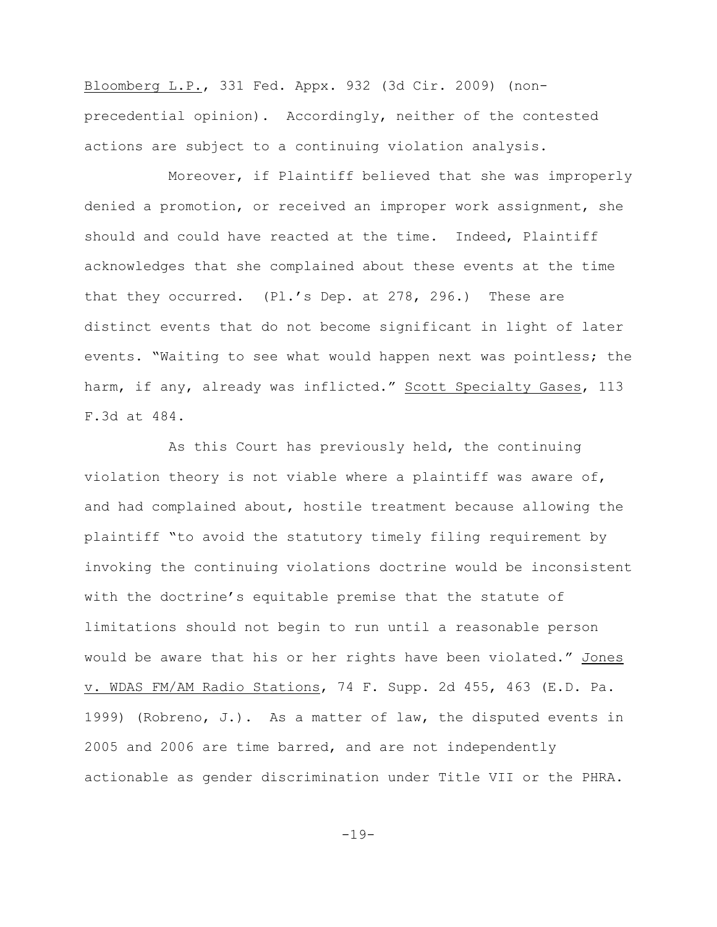Bloomberg L.P., 331 Fed. Appx. 932 (3d Cir. 2009) (nonprecedential opinion). Accordingly, neither of the contested actions are subject to a continuing violation analysis.

Moreover, if Plaintiff believed that she was improperly denied a promotion, or received an improper work assignment, she should and could have reacted at the time. Indeed, Plaintiff acknowledges that she complained about these events at the time that they occurred. (Pl.'s Dep. at 278, 296.) These are distinct events that do not become significant in light of later events. "Waiting to see what would happen next was pointless; the harm, if any, already was inflicted." Scott Specialty Gases, 113 F.3d at 484.

As this Court has previously held, the continuing violation theory is not viable where a plaintiff was aware of, and had complained about, hostile treatment because allowing the plaintiff "to avoid the statutory timely filing requirement by invoking the continuing violations doctrine would be inconsistent with the doctrine's equitable premise that the statute of limitations should not begin to run until a reasonable person would be aware that his or her rights have been violated." Jones v. WDAS FM/AM Radio Stations, 74 F. Supp. 2d 455, 463 (E.D. Pa. 1999) (Robreno, J.). As a matter of law, the disputed events in 2005 and 2006 are time barred, and are not independently actionable as gender discrimination under Title VII or the PHRA.

-19-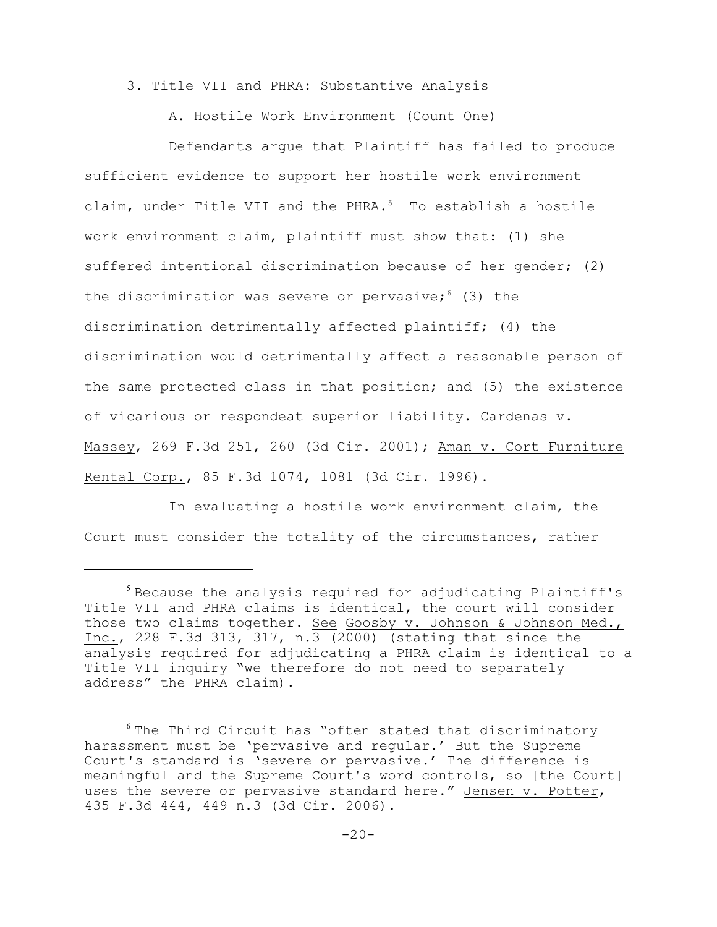3. Title VII and PHRA: Substantive Analysis

A. Hostile Work Environment (Count One)

Defendants argue that Plaintiff has failed to produce sufficient evidence to support her hostile work environment claim, under Title VII and the PHRA. $5$  To establish a hostile work environment claim, plaintiff must show that: (1) she suffered intentional discrimination because of her gender; (2) the discrimination was severe or pervasive;  $(3)$  the discrimination detrimentally affected plaintiff; (4) the discrimination would detrimentally affect a reasonable person of the same protected class in that position; and (5) the existence of vicarious or respondeat superior liability. Cardenas v. Massey, 269 F.3d 251, 260 (3d Cir. 2001); Aman v. Cort Furniture Rental Corp., 85 F.3d 1074, 1081 (3d Cir. 1996).

In evaluating a hostile work environment claim, the Court must consider the totality of the circumstances, rather

 $5$  Because the analysis required for adjudicating Plaintiff's Title VII and PHRA claims is identical, the court will consider those two claims together. See Goosby v. Johnson & Johnson Med., Inc., 228 F.3d 313, 317, n.  $3(2000)$  (stating that since the analysis required for adjudicating a PHRA claim is identical to a Title VII inquiry "we therefore do not need to separately address" the PHRA claim).

 $6$ The Third Circuit has "often stated that discriminatory harassment must be 'pervasive and regular.' But the Supreme Court's standard is 'severe or pervasive.' The difference is meaningful and the Supreme Court's word controls, so [the Court] uses the severe or pervasive standard here." Jensen v. Potter, 435 F.3d 444, 449 n.3 (3d Cir. 2006).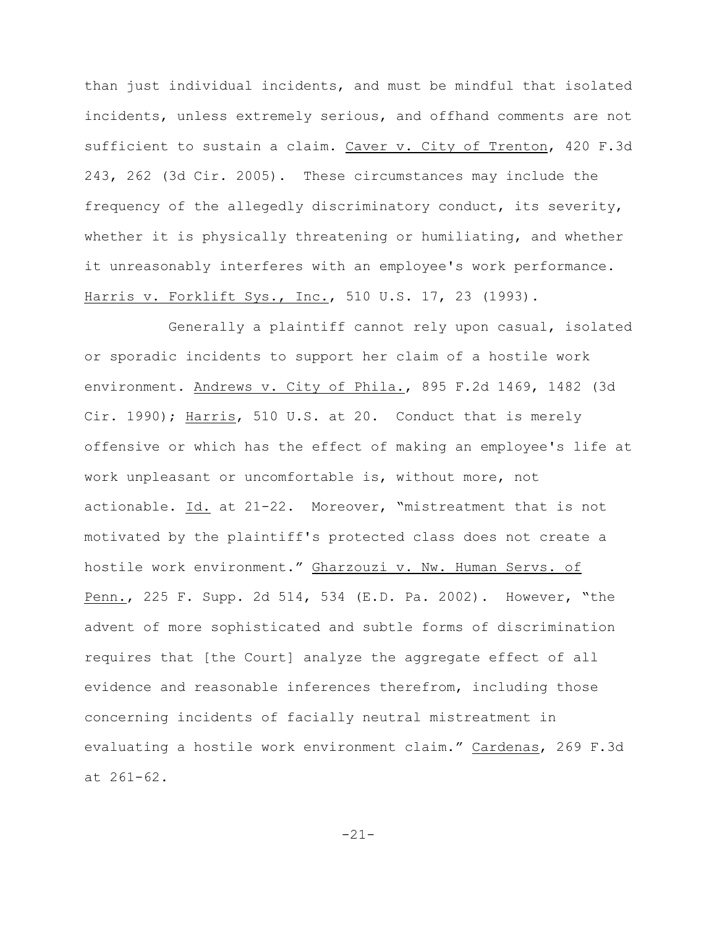than just individual incidents, and must be mindful that isolated incidents, unless extremely serious, and offhand comments are not sufficient to sustain a claim. Caver v. City of Trenton, 420 F.3d 243, 262 (3d Cir. 2005). These circumstances may include the frequency of the allegedly discriminatory conduct, its severity, whether it is physically threatening or humiliating, and whether it unreasonably interferes with an employee's work performance. Harris v. Forklift Sys., Inc., 510 U.S. 17, 23 (1993).

Generally a plaintiff cannot rely upon casual, isolated or sporadic incidents to support her claim of a hostile work environment. Andrews v. City of Phila., 895 F.2d 1469, 1482 (3d Cir. 1990); Harris, 510 U.S. at 20. Conduct that is merely offensive or which has the effect of making an employee's life at work unpleasant or uncomfortable is, without more, not actionable. Id. at 21-22. Moreover, "mistreatment that is not motivated by the plaintiff's protected class does not create a hostile work environment." Gharzouzi v. Nw. Human Servs. of Penn., 225 F. Supp. 2d 514, 534 (E.D. Pa. 2002). However, "the advent of more sophisticated and subtle forms of discrimination requires that [the Court] analyze the aggregate effect of all evidence and reasonable inferences therefrom, including those concerning incidents of facially neutral mistreatment in evaluating a hostile work environment claim." Cardenas, 269 F.3d at 261-62.

-21-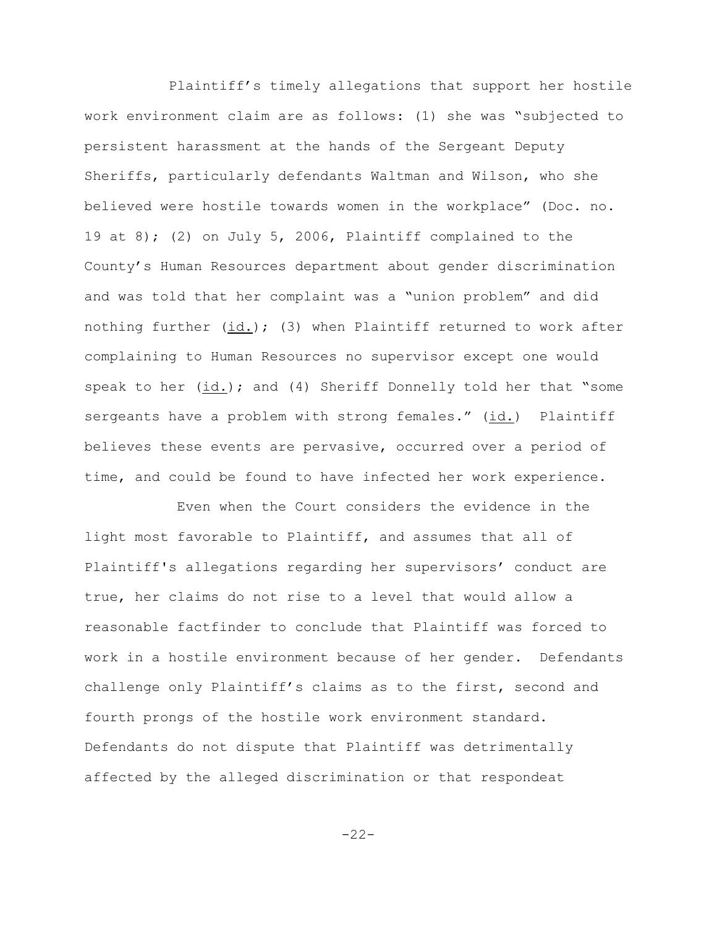Plaintiff's timely allegations that support her hostile work environment claim are as follows: (1) she was "subjected to persistent harassment at the hands of the Sergeant Deputy Sheriffs, particularly defendants Waltman and Wilson, who she believed were hostile towards women in the workplace" (Doc. no. 19 at 8); (2) on July 5, 2006, Plaintiff complained to the County's Human Resources department about gender discrimination and was told that her complaint was a "union problem" and did nothing further  $(id.)$ ; (3) when Plaintiff returned to work after complaining to Human Resources no supervisor except one would speak to her (id.); and (4) Sheriff Donnelly told her that "some sergeants have a problem with strong females." (id.) Plaintiff believes these events are pervasive, occurred over a period of time, and could be found to have infected her work experience.

 Even when the Court considers the evidence in the light most favorable to Plaintiff, and assumes that all of Plaintiff's allegations regarding her supervisors' conduct are true, her claims do not rise to a level that would allow a reasonable factfinder to conclude that Plaintiff was forced to work in a hostile environment because of her gender. Defendants challenge only Plaintiff's claims as to the first, second and fourth prongs of the hostile work environment standard. Defendants do not dispute that Plaintiff was detrimentally affected by the alleged discrimination or that respondeat

-22-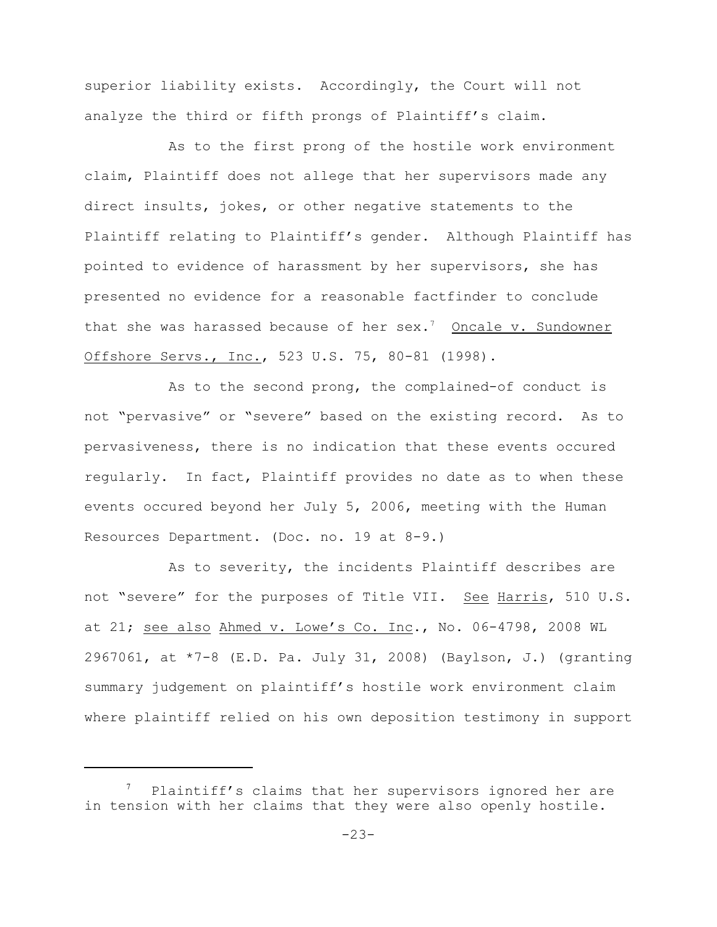superior liability exists. Accordingly, the Court will not analyze the third or fifth prongs of Plaintiff's claim.

As to the first prong of the hostile work environment claim, Plaintiff does not allege that her supervisors made any direct insults, jokes, or other negative statements to the Plaintiff relating to Plaintiff's gender. Although Plaintiff has pointed to evidence of harassment by her supervisors, she has presented no evidence for a reasonable factfinder to conclude that she was harassed because of her sex.<sup>7</sup> Oncale v. Sundowner Offshore Servs., Inc., 523 U.S. 75, 80-81 (1998).

As to the second prong, the complained-of conduct is not "pervasive" or "severe" based on the existing record. As to pervasiveness, there is no indication that these events occured regularly. In fact, Plaintiff provides no date as to when these events occured beyond her July 5, 2006, meeting with the Human Resources Department. (Doc. no. 19 at 8-9.)

As to severity, the incidents Plaintiff describes are not "severe" for the purposes of Title VII. See Harris, 510 U.S. at 21; see also Ahmed v. Lowe's Co. Inc., No. 06-4798, 2008 WL 2967061, at \*7-8 (E.D. Pa. July 31, 2008) (Baylson, J.) (granting summary judgement on plaintiff's hostile work environment claim where plaintiff relied on his own deposition testimony in support

Plaintiff's claims that her supervisors ignored her are in tension with her claims that they were also openly hostile.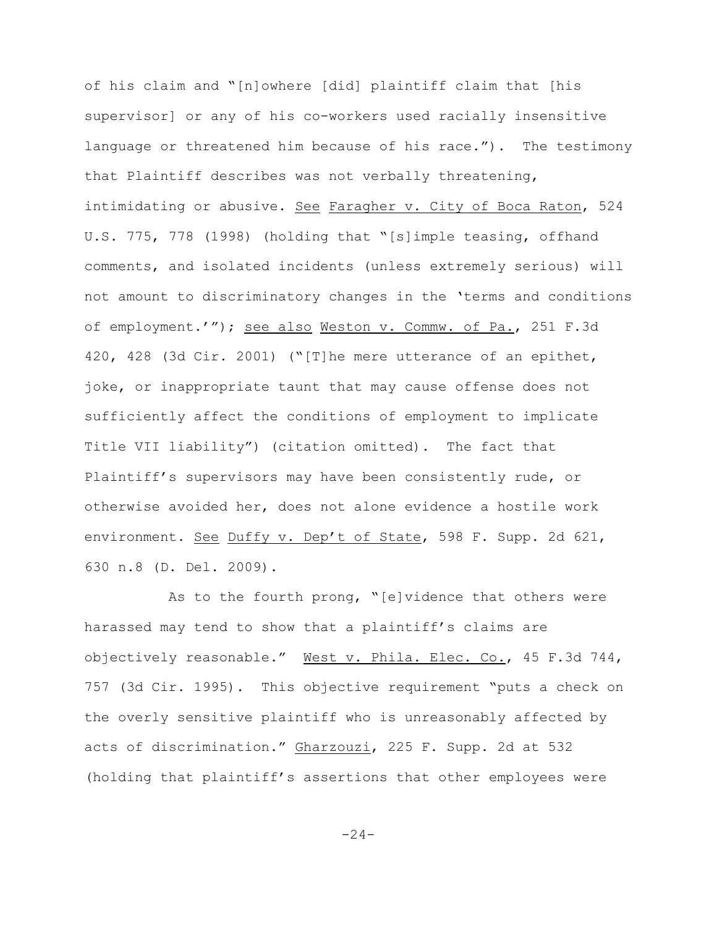of his claim and "[n]owhere [did] plaintiff claim that [his supervisor] or any of his co-workers used racially insensitive language or threatened him because of his race."). The testimony that Plaintiff describes was not verbally threatening, intimidating or abusive. See Faragher v. City of Boca Raton, 524 U.S. 775, 778 (1998) (holding that "[s]imple teasing, offhand comments, and isolated incidents (unless extremely serious) will not amount to discriminatory changes in the 'terms and conditions of employment.'"); see also Weston v. Commw. of Pa., 251 F.3d 420, 428 (3d Cir. 2001) ("[T]he mere utterance of an epithet, joke, or inappropriate taunt that may cause offense does not sufficiently affect the conditions of employment to implicate Title VII liability") (citation omitted). The fact that Plaintiff's supervisors may have been consistently rude, or otherwise avoided her, does not alone evidence a hostile work environment. See Duffy v. Dep't of State, 598 F. Supp. 2d 621, 630 n.8 (D. Del. 2009).

As to the fourth prong, "[e]vidence that others were harassed may tend to show that a plaintiff's claims are objectively reasonable." West v. Phila. Elec. Co., 45 F.3d 744, 757 (3d Cir. 1995). This objective requirement "puts a check on the overly sensitive plaintiff who is unreasonably affected by acts of discrimination." Gharzouzi, 225 F. Supp. 2d at 532 (holding that plaintiff's assertions that other employees were

 $-24-$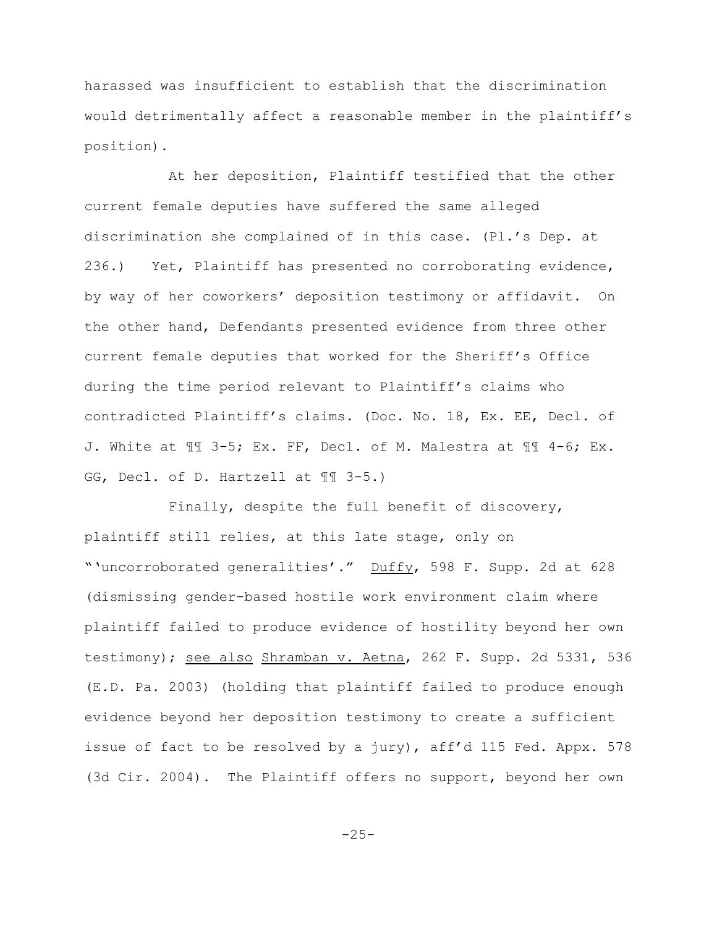harassed was insufficient to establish that the discrimination would detrimentally affect a reasonable member in the plaintiff's position).

At her deposition, Plaintiff testified that the other current female deputies have suffered the same alleged discrimination she complained of in this case. (Pl.'s Dep. at 236.) Yet, Plaintiff has presented no corroborating evidence, by way of her coworkers' deposition testimony or affidavit. On the other hand, Defendants presented evidence from three other current female deputies that worked for the Sheriff's Office during the time period relevant to Plaintiff's claims who contradicted Plaintiff's claims. (Doc. No. 18, Ex. EE, Decl. of J. White at ¶¶ 3-5; Ex. FF, Decl. of M. Malestra at ¶¶ 4-6; Ex. GG, Decl. of D. Hartzell at ¶¶ 3-5.)

Finally, despite the full benefit of discovery, plaintiff still relies, at this late stage, only on "'uncorroborated generalities'." Duffy, 598 F. Supp. 2d at 628 (dismissing gender-based hostile work environment claim where plaintiff failed to produce evidence of hostility beyond her own testimony); see also Shramban v. Aetna, 262 F. Supp. 2d 5331, 536 (E.D. Pa. 2003) (holding that plaintiff failed to produce enough evidence beyond her deposition testimony to create a sufficient issue of fact to be resolved by a jury), aff'd 115 Fed. Appx. 578 (3d Cir. 2004). The Plaintiff offers no support, beyond her own

-25-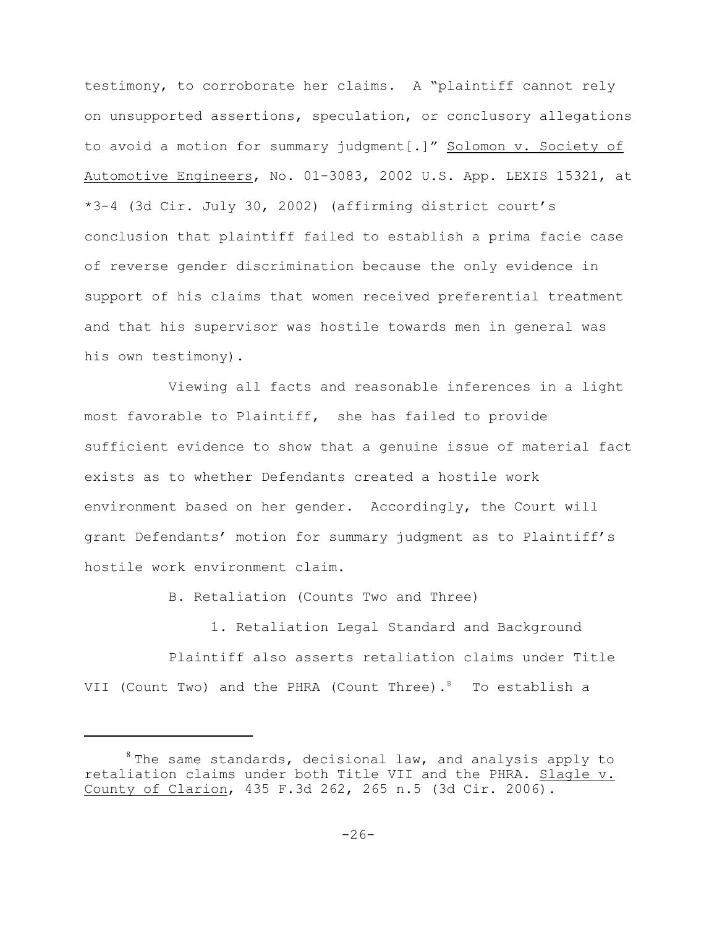testimony, to corroborate her claims. A "plaintiff cannot rely on unsupported assertions, speculation, or conclusory allegations to avoid a motion for summary judgment[.]" Solomon v. Society of Automotive Engineers, No. 01-3083, 2002 U.S. App. LEXIS 15321, at \*3-4 (3d Cir. July 30, 2002) (affirming district court's conclusion that plaintiff failed to establish a prima facie case of reverse gender discrimination because the only evidence in support of his claims that women received preferential treatment and that his supervisor was hostile towards men in general was his own testimony).

Viewing all facts and reasonable inferences in a light most favorable to Plaintiff, she has failed to provide sufficient evidence to show that a genuine issue of material fact exists as to whether Defendants created a hostile work environment based on her gender. Accordingly, the Court will grant Defendants' motion for summary judgment as to Plaintiff's hostile work environment claim.

B. Retaliation (Counts Two and Three)

1. Retaliation Legal Standard and Background Plaintiff also asserts retaliation claims under Title VII (Count Two) and the PHRA (Count Three).<sup>8</sup> To establish a

 $s$  The same standards, decisional law, and analysis apply to retaliation claims under both Title VII and the PHRA. Slagle v. County of Clarion, 435 F.3d 262, 265 n.5 (3d Cir. 2006).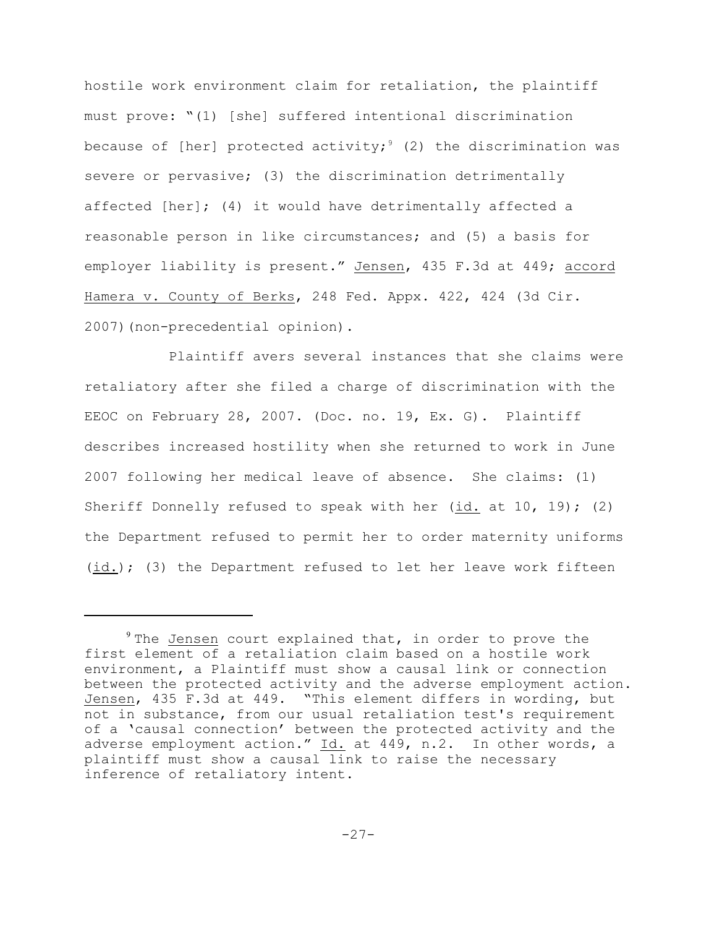hostile work environment claim for retaliation, the plaintiff must prove: "(1) [she] suffered intentional discrimination because of [her] protected activity;<sup>9</sup> (2) the discrimination was severe or pervasive; (3) the discrimination detrimentally affected [her]; (4) it would have detrimentally affected a reasonable person in like circumstances; and (5) a basis for employer liability is present." Jensen, 435 F.3d at 449; accord Hamera v. County of Berks, 248 Fed. Appx. 422, 424 (3d Cir. 2007)(non-precedential opinion).

Plaintiff avers several instances that she claims were retaliatory after she filed a charge of discrimination with the EEOC on February 28, 2007. (Doc. no. 19, Ex. G). Plaintiff describes increased hostility when she returned to work in June 2007 following her medical leave of absence. She claims: (1) Sheriff Donnelly refused to speak with her (id. at 10, 19); (2) the Department refused to permit her to order maternity uniforms (id.); (3) the Department refused to let her leave work fifteen

 $9$  The Jensen court explained that, in order to prove the first element of a retaliation claim based on a hostile work environment, a Plaintiff must show a causal link or connection between the protected activity and the adverse employment action. Jensen, 435 F.3d at 449. "This element differs in wording, but not in substance, from our usual retaliation test's requirement of a 'causal connection' between the protected activity and the adverse employment action." Id. at 449, n.2. In other words, a plaintiff must show a causal link to raise the necessary inference of retaliatory intent.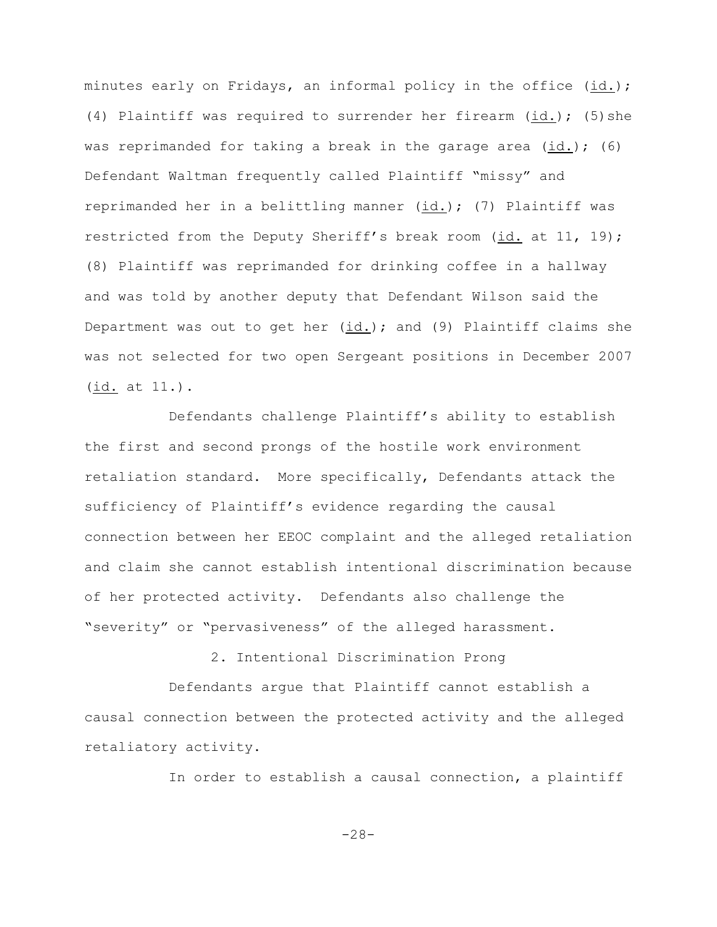minutes early on Fridays, an informal policy in the office (id.); (4) Plaintiff was required to surrender her firearm (id.); (5)she was reprimanded for taking a break in the garage area  $(id.)$ ; (6) Defendant Waltman frequently called Plaintiff "missy" and reprimanded her in a belittling manner (id.); (7) Plaintiff was restricted from the Deputy Sheriff's break room (id. at 11, 19); (8) Plaintiff was reprimanded for drinking coffee in a hallway and was told by another deputy that Defendant Wilson said the Department was out to get her (id.); and (9) Plaintiff claims she was not selected for two open Sergeant positions in December 2007 (id. at 11.).

Defendants challenge Plaintiff's ability to establish the first and second prongs of the hostile work environment retaliation standard. More specifically, Defendants attack the sufficiency of Plaintiff's evidence regarding the causal connection between her EEOC complaint and the alleged retaliation and claim she cannot establish intentional discrimination because of her protected activity. Defendants also challenge the "severity" or "pervasiveness" of the alleged harassment.

2. Intentional Discrimination Prong

Defendants argue that Plaintiff cannot establish a causal connection between the protected activity and the alleged retaliatory activity.

In order to establish a causal connection, a plaintiff

-28-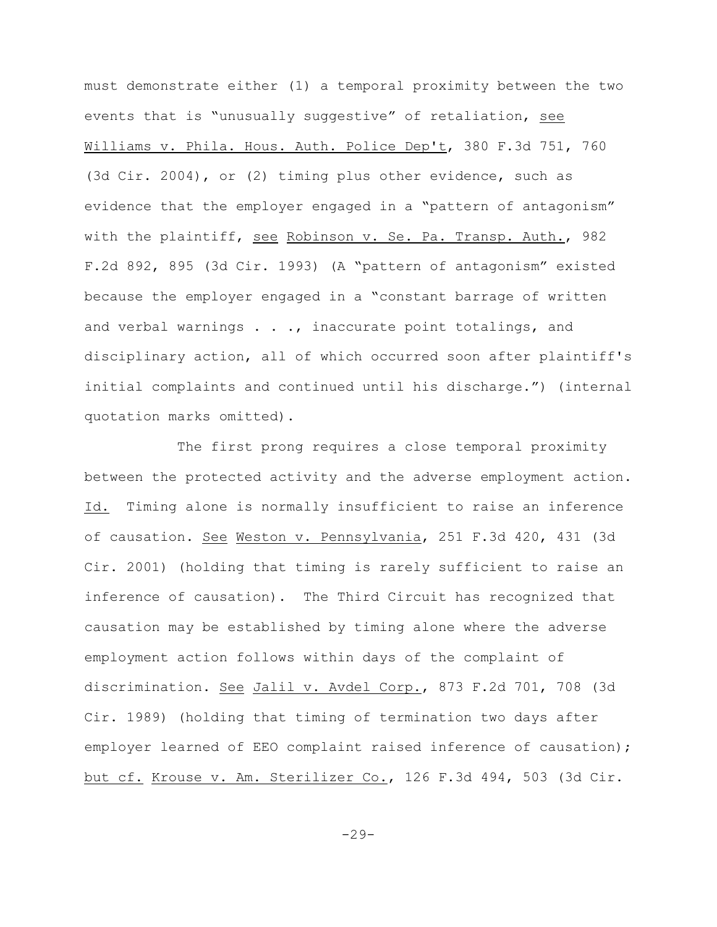must demonstrate either (1) a temporal proximity between the two events that is "unusually suggestive" of retaliation, see Williams v. Phila. Hous. Auth. Police Dep't, 380 F.3d 751, 760 (3d Cir. 2004), or (2) timing plus other evidence, such as evidence that the employer engaged in a "pattern of antagonism" with the plaintiff, see Robinson v. Se. Pa. Transp. Auth., 982 F.2d 892, 895 (3d Cir. 1993) (A "pattern of antagonism" existed because the employer engaged in a "constant barrage of written and verbal warnings . . ., inaccurate point totalings, and disciplinary action, all of which occurred soon after plaintiff's initial complaints and continued until his discharge.") (internal quotation marks omitted).

 The first prong requires a close temporal proximity between the protected activity and the adverse employment action. Id. Timing alone is normally insufficient to raise an inference of causation. See Weston v. Pennsylvania, 251 F.3d 420, 431 (3d Cir. 2001) (holding that timing is rarely sufficient to raise an inference of causation). The Third Circuit has recognized that causation may be established by timing alone where the adverse employment action follows within days of the complaint of discrimination. See Jalil v. Avdel Corp., 873 F.2d 701, 708 (3d Cir. 1989) (holding that timing of termination two days after employer learned of EEO complaint raised inference of causation); but cf. Krouse v. Am. Sterilizer Co., 126 F.3d 494, 503 (3d Cir.

-29-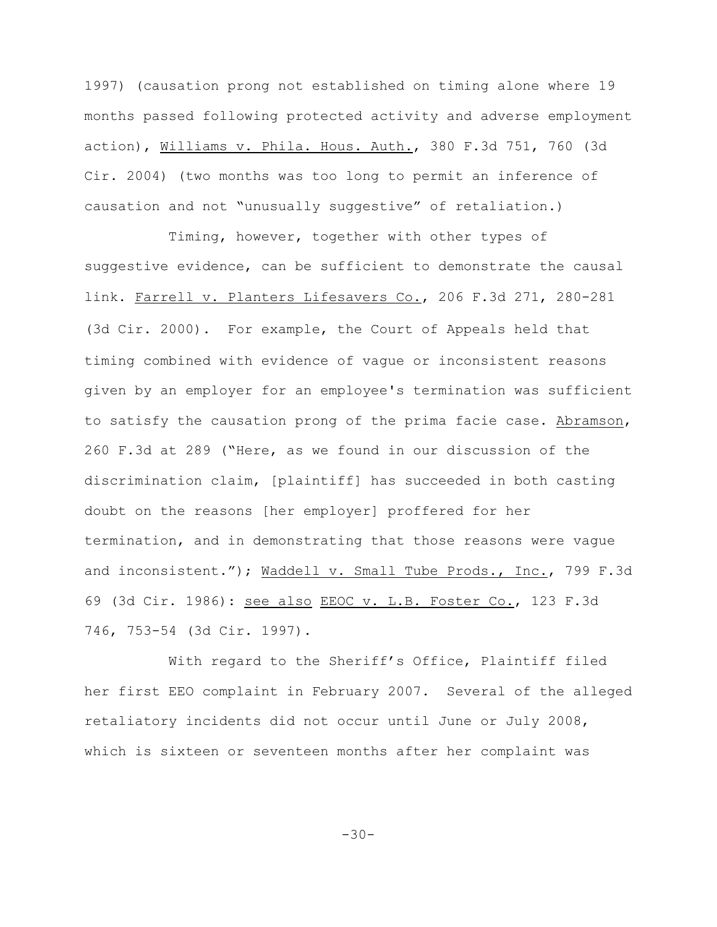1997) (causation prong not established on timing alone where 19 months passed following protected activity and adverse employment action), Williams v. Phila. Hous. Auth., 380 F.3d 751, 760 (3d Cir. 2004) (two months was too long to permit an inference of causation and not "unusually suggestive" of retaliation.)

Timing, however, together with other types of suggestive evidence, can be sufficient to demonstrate the causal link. Farrell v**.** Planters Lifesavers Co., 206 F.3d 271, 280-281 (3d Cir**.** 2000). For example, the Court of Appeals held that timing combined with evidence of vague or inconsistent reasons given by an employer for an employee's termination was sufficient to satisfy the causation prong of the prima facie case. Abramson, 260 F.3d at 289 ("Here, as we found in our discussion of the discrimination claim, [plaintiff] has succeeded in both casting doubt on the reasons [her employer] proffered for her termination, and in demonstrating that those reasons were vague and inconsistent."); Waddell v. Small Tube Prods., Inc., 799 F.3d 69 (3d Cir. 1986): see also EEOC v. L.B. Foster Co., 123 F.3d 746, 753-54 (3d Cir. 1997).

With regard to the Sheriff's Office, Plaintiff filed her first EEO complaint in February 2007. Several of the alleged retaliatory incidents did not occur until June or July 2008, which is sixteen or seventeen months after her complaint was

-30-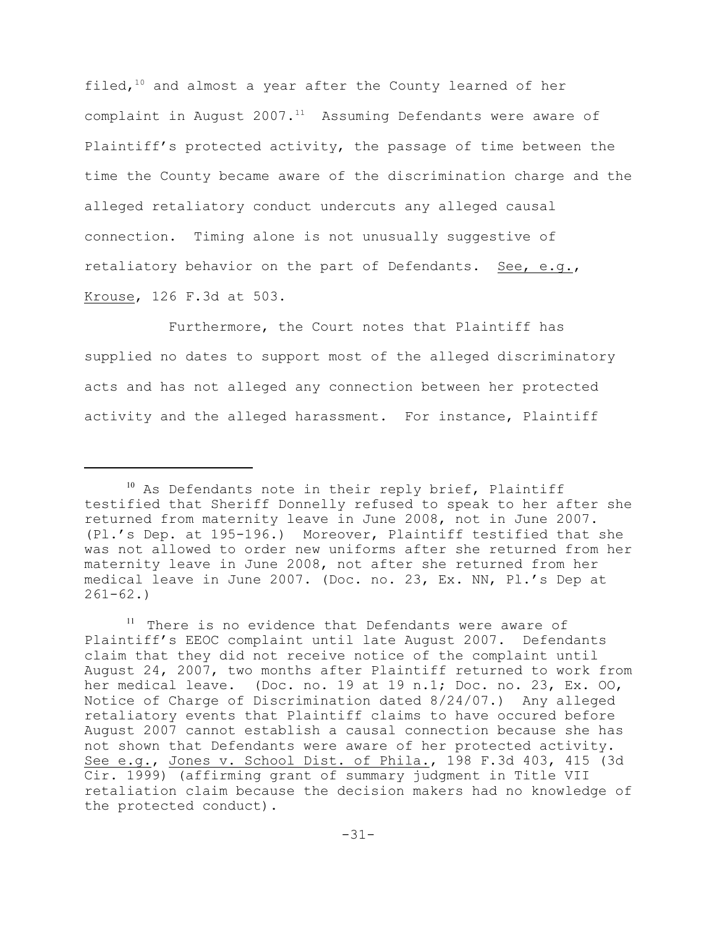filed,  $10$  and almost a year after the County learned of her complaint in August  $2007.11$  Assuming Defendants were aware of Plaintiff's protected activity, the passage of time between the time the County became aware of the discrimination charge and the alleged retaliatory conduct undercuts any alleged causal connection. Timing alone is not unusually suggestive of retaliatory behavior on the part of Defendants. See, e.g., Krouse, 126 F.3d at 503.

Furthermore, the Court notes that Plaintiff has supplied no dates to support most of the alleged discriminatory acts and has not alleged any connection between her protected activity and the alleged harassment. For instance, Plaintiff

 $10$  As Defendants note in their reply brief, Plaintiff testified that Sheriff Donnelly refused to speak to her after she returned from maternity leave in June 2008, not in June 2007. (Pl.'s Dep. at 195-196.) Moreover, Plaintiff testified that she was not allowed to order new uniforms after she returned from her maternity leave in June 2008, not after she returned from her medical leave in June 2007. (Doc. no. 23, Ex. NN, Pl.'s Dep at  $261-62.$ 

 $11$  There is no evidence that Defendants were aware of Plaintiff's EEOC complaint until late August 2007. Defendants claim that they did not receive notice of the complaint until August 24, 2007, two months after Plaintiff returned to work from her medical leave. (Doc. no. 19 at 19 n.1; Doc. no. 23, Ex. OO, Notice of Charge of Discrimination dated 8/24/07.) Any alleged retaliatory events that Plaintiff claims to have occured before August 2007 cannot establish a causal connection because she has not shown that Defendants were aware of her protected activity. See e.g., Jones v. School Dist. of Phila., 198 F.3d 403, 415 (3d Cir. 1999) (affirming grant of summary judgment in Title VII retaliation claim because the decision makers had no knowledge of the protected conduct).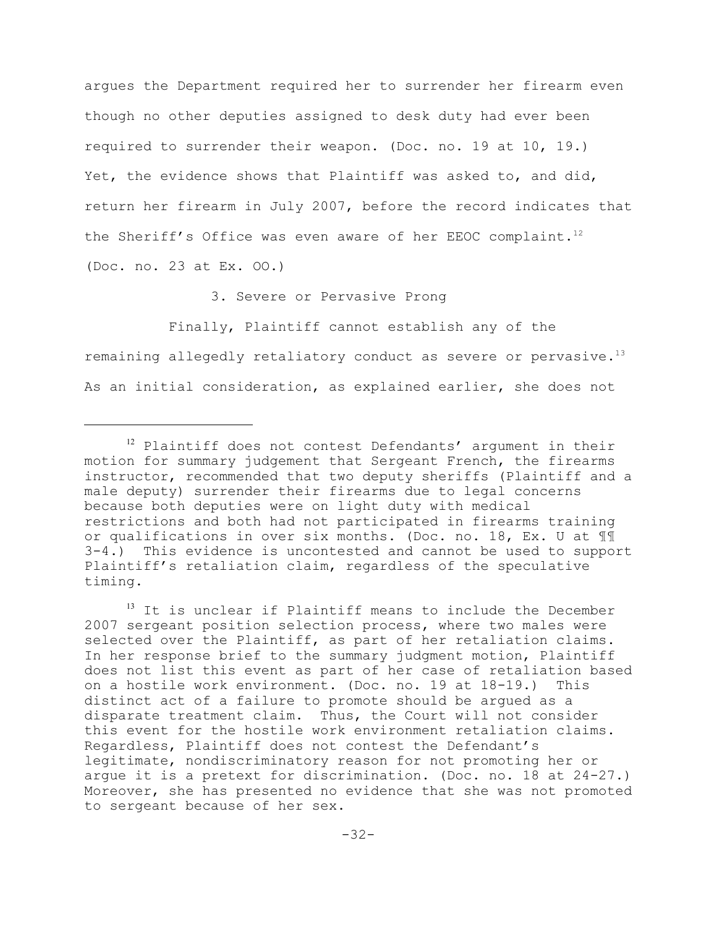argues the Department required her to surrender her firearm even though no other deputies assigned to desk duty had ever been required to surrender their weapon. (Doc. no. 19 at 10, 19.) Yet, the evidence shows that Plaintiff was asked to, and did, return her firearm in July 2007, before the record indicates that the Sheriff's Office was even aware of her EEOC complaint.<sup>12</sup> (Doc. no. 23 at Ex. OO.)

3. Severe or Pervasive Prong

Finally, Plaintiff cannot establish any of the remaining allegedly retaliatory conduct as severe or pervasive.<sup>13</sup> As an initial consideration, as explained earlier, she does not

 $13$  It is unclear if Plaintiff means to include the December 2007 sergeant position selection process, where two males were selected over the Plaintiff, as part of her retaliation claims. In her response brief to the summary judgment motion, Plaintiff does not list this event as part of her case of retaliation based on a hostile work environment. (Doc. no. 19 at 18-19.) This distinct act of a failure to promote should be argued as a disparate treatment claim. Thus, the Court will not consider this event for the hostile work environment retaliation claims. Regardless, Plaintiff does not contest the Defendant's legitimate, nondiscriminatory reason for not promoting her or argue it is a pretext for discrimination. (Doc. no. 18 at 24-27.) Moreover, she has presented no evidence that she was not promoted to sergeant because of her sex.

 $12$  Plaintiff does not contest Defendants' argument in their motion for summary judgement that Sergeant French, the firearms instructor, recommended that two deputy sheriffs (Plaintiff and a male deputy) surrender their firearms due to legal concerns because both deputies were on light duty with medical restrictions and both had not participated in firearms training or qualifications in over six months. (Doc. no. 18, Ex. U at ¶¶ 3-4.) This evidence is uncontested and cannot be used to support Plaintiff's retaliation claim, regardless of the speculative timing.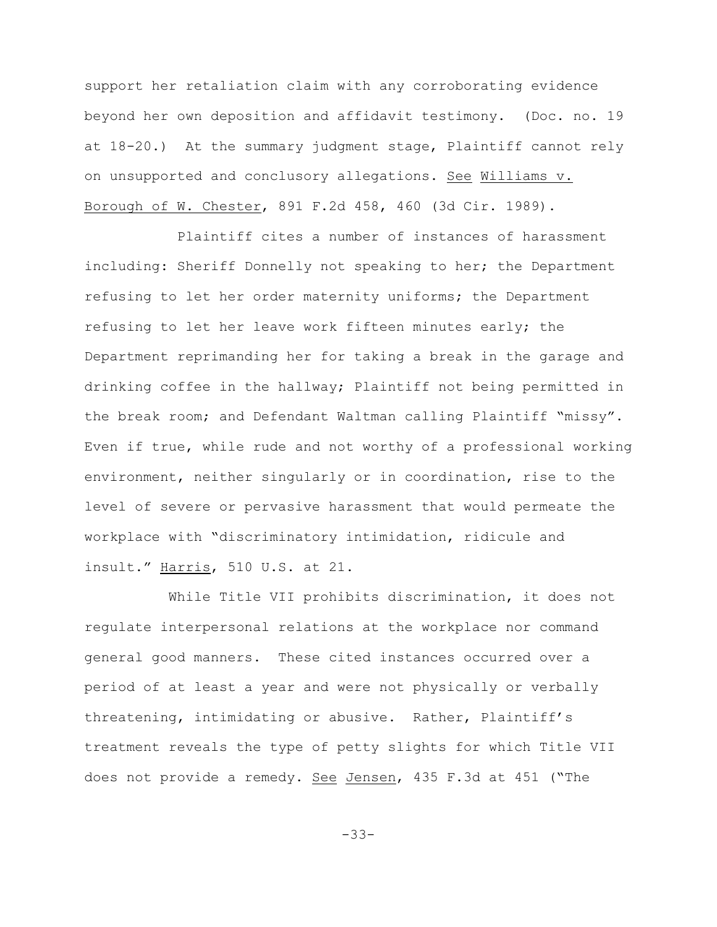support her retaliation claim with any corroborating evidence beyond her own deposition and affidavit testimony. (Doc. no. 19 at 18-20.) At the summary judgment stage, Plaintiff cannot rely on unsupported and conclusory allegations. See Williams v. Borough of W. Chester, 891 F.2d 458, 460 (3d Cir. 1989).

 Plaintiff cites a number of instances of harassment including: Sheriff Donnelly not speaking to her; the Department refusing to let her order maternity uniforms; the Department refusing to let her leave work fifteen minutes early; the Department reprimanding her for taking a break in the garage and drinking coffee in the hallway; Plaintiff not being permitted in the break room; and Defendant Waltman calling Plaintiff "missy". Even if true, while rude and not worthy of a professional working environment, neither singularly or in coordination, rise to the level of severe or pervasive harassment that would permeate the workplace with "discriminatory intimidation, ridicule and insult." Harris, 510 U.S. at 21.

While Title VII prohibits discrimination, it does not regulate interpersonal relations at the workplace nor command general good manners. These cited instances occurred over a period of at least a year and were not physically or verbally threatening, intimidating or abusive. Rather, Plaintiff's treatment reveals the type of petty slights for which Title VII does not provide a remedy. See Jensen, 435 F.3d at 451 ("The

-33-